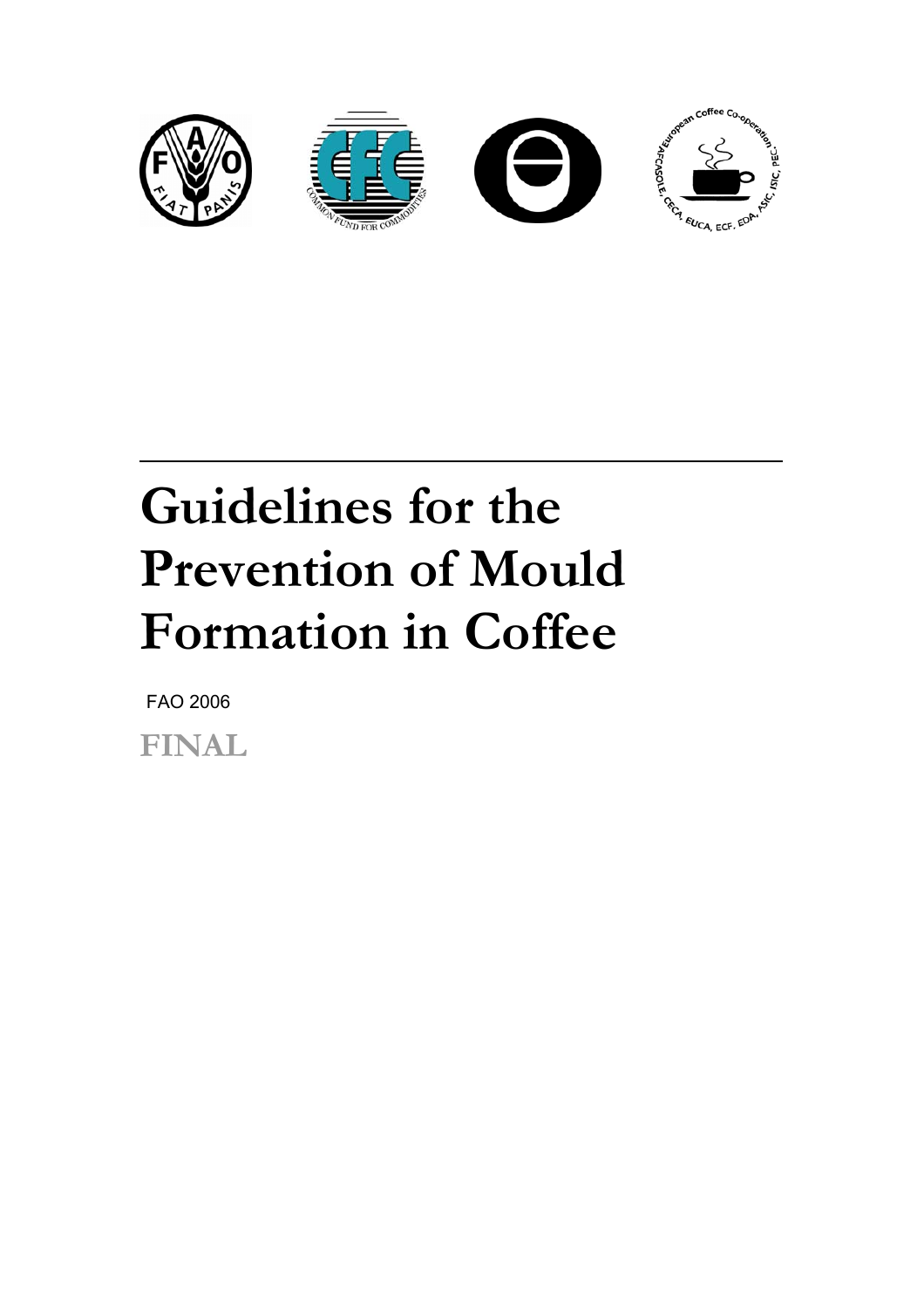

# **Guidelines for the Prevention of Mould Formation in Coffee**

FAO 2006

**FINAL**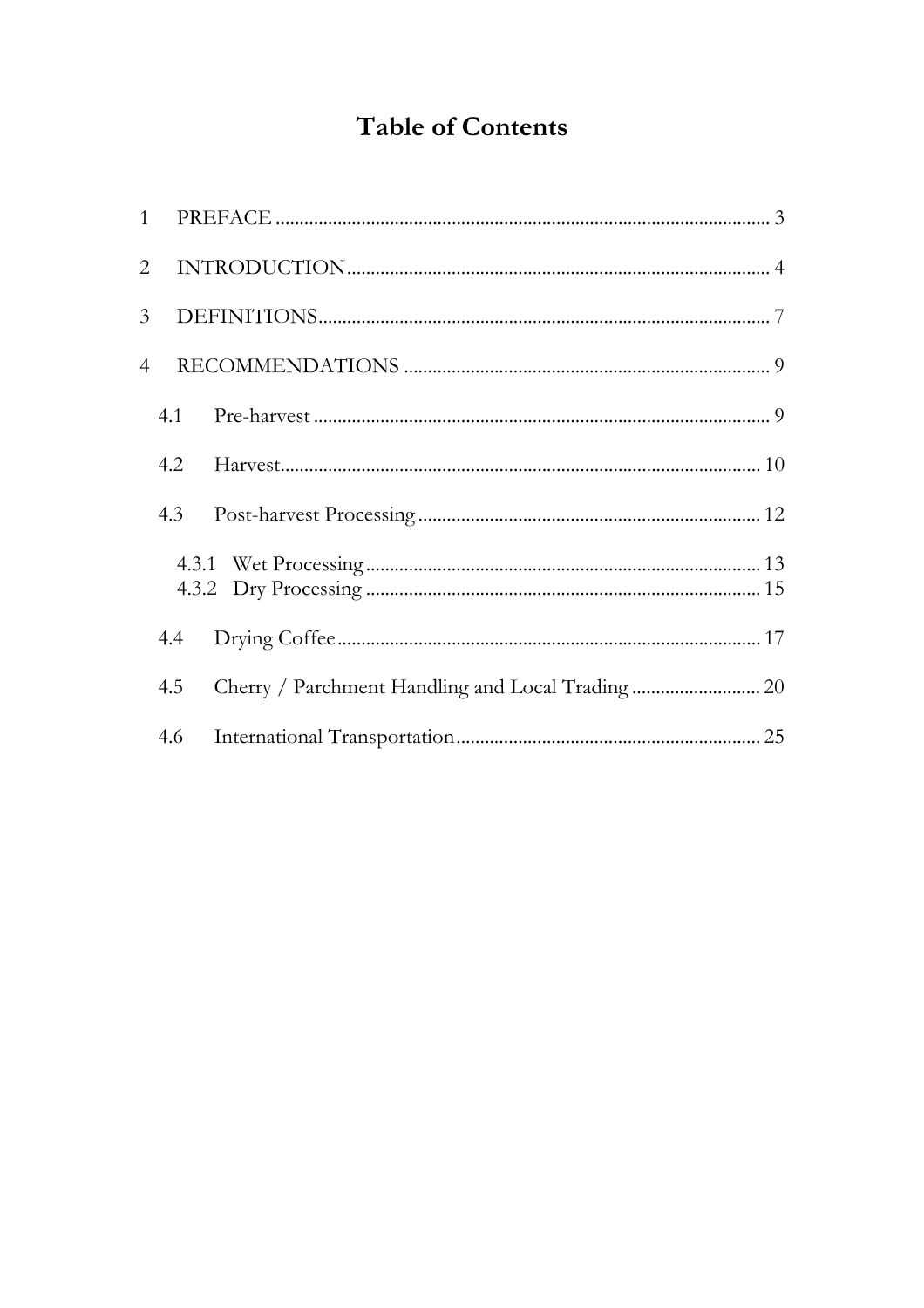# **Table of Contents**

|                | $1 \quad$ |  |
|----------------|-----------|--|
| $\overline{2}$ |           |  |
| 3 <sup>1</sup> |           |  |
| 4              |           |  |
|                | 4.1       |  |
|                | 4.2       |  |
|                | 4.3       |  |
|                |           |  |
|                | 4.4       |  |
|                | 4.5       |  |
|                | 4.6       |  |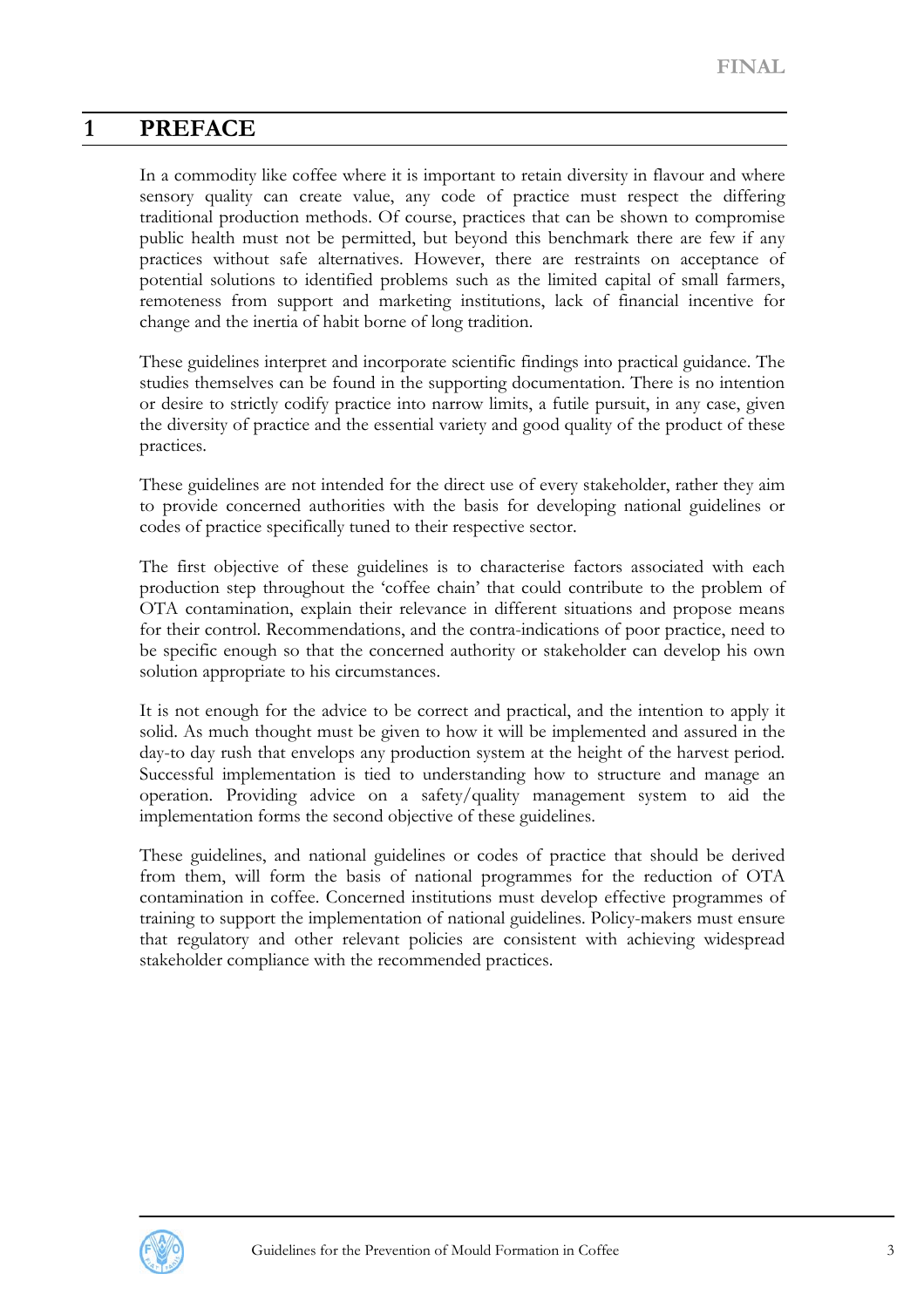# <span id="page-2-0"></span>**1 PREFACE**

In a commodity like coffee where it is important to retain diversity in flavour and where sensory quality can create value, any code of practice must respect the differing traditional production methods. Of course, practices that can be shown to compromise public health must not be permitted, but beyond this benchmark there are few if any practices without safe alternatives. However, there are restraints on acceptance of potential solutions to identified problems such as the limited capital of small farmers, remoteness from support and marketing institutions, lack of financial incentive for change and the inertia of habit borne of long tradition.

These guidelines interpret and incorporate scientific findings into practical guidance. The studies themselves can be found in the supporting documentation. There is no intention or desire to strictly codify practice into narrow limits, a futile pursuit, in any case, given the diversity of practice and the essential variety and good quality of the product of these practices.

These guidelines are not intended for the direct use of every stakeholder, rather they aim to provide concerned authorities with the basis for developing national guidelines or codes of practice specifically tuned to their respective sector.

The first objective of these guidelines is to characterise factors associated with each production step throughout the 'coffee chain' that could contribute to the problem of OTA contamination, explain their relevance in different situations and propose means for their control. Recommendations, and the contra-indications of poor practice, need to be specific enough so that the concerned authority or stakeholder can develop his own solution appropriate to his circumstances.

It is not enough for the advice to be correct and practical, and the intention to apply it solid. As much thought must be given to how it will be implemented and assured in the day-to day rush that envelops any production system at the height of the harvest period. Successful implementation is tied to understanding how to structure and manage an operation. Providing advice on a safety/quality management system to aid the implementation forms the second objective of these guidelines.

These guidelines, and national guidelines or codes of practice that should be derived from them, will form the basis of national programmes for the reduction of OTA contamination in coffee. Concerned institutions must develop effective programmes of training to support the implementation of national guidelines. Policy-makers must ensure that regulatory and other relevant policies are consistent with achieving widespread stakeholder compliance with the recommended practices.

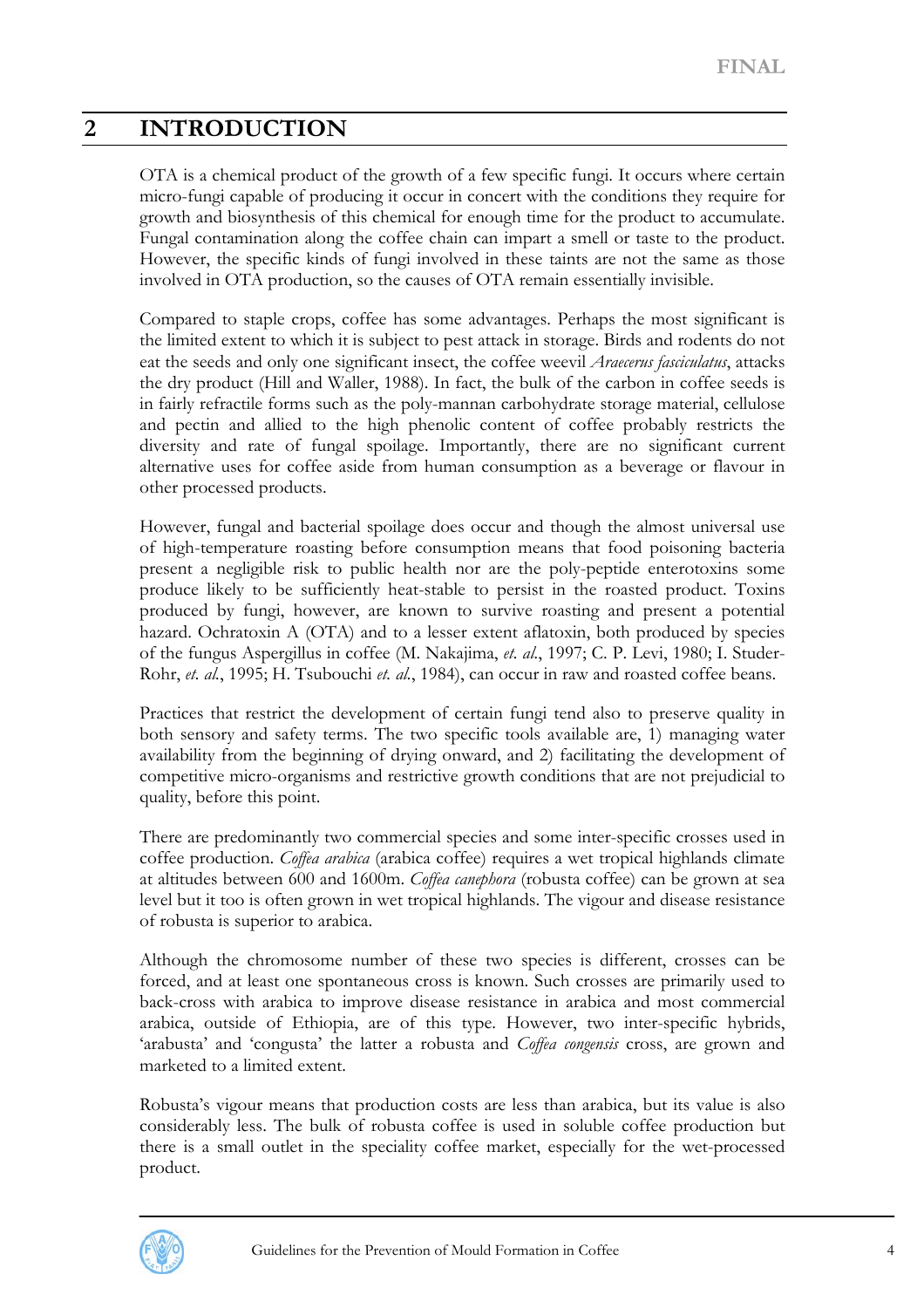# <span id="page-3-0"></span>**2 INTRODUCTION**

OTA is a chemical product of the growth of a few specific fungi. It occurs where certain micro-fungi capable of producing it occur in concert with the conditions they require for growth and biosynthesis of this chemical for enough time for the product to accumulate. Fungal contamination along the coffee chain can impart a smell or taste to the product. However, the specific kinds of fungi involved in these taints are not the same as those involved in OTA production, so the causes of OTA remain essentially invisible.

Compared to staple crops, coffee has some advantages. Perhaps the most significant is the limited extent to which it is subject to pest attack in storage. Birds and rodents do not eat the seeds and only one significant insect, the coffee weevil *Araecerus fasciculatus*, attacks the dry product (Hill and Waller, 1988). In fact, the bulk of the carbon in coffee seeds is in fairly refractile forms such as the poly-mannan carbohydrate storage material, cellulose and pectin and allied to the high phenolic content of coffee probably restricts the diversity and rate of fungal spoilage. Importantly, there are no significant current alternative uses for coffee aside from human consumption as a beverage or flavour in other processed products.

However, fungal and bacterial spoilage does occur and though the almost universal use of high-temperature roasting before consumption means that food poisoning bacteria present a negligible risk to public health nor are the poly-peptide enterotoxins some produce likely to be sufficiently heat-stable to persist in the roasted product. Toxins produced by fungi, however, are known to survive roasting and present a potential hazard. Ochratoxin A (OTA) and to a lesser extent aflatoxin, both produced by species of the fungus Aspergillus in coffee (M. Nakajima, *et. al.*, 1997; C. P. Levi, 1980; I. Studer-Rohr, *et. al.*, 1995; H. Tsubouchi *et. al.*, 1984), can occur in raw and roasted coffee beans.

Practices that restrict the development of certain fungi tend also to preserve quality in both sensory and safety terms. The two specific tools available are, 1) managing water availability from the beginning of drying onward, and 2) facilitating the development of competitive micro-organisms and restrictive growth conditions that are not prejudicial to quality, before this point.

There are predominantly two commercial species and some inter-specific crosses used in coffee production. *Coffea arabica* (arabica coffee) requires a wet tropical highlands climate at altitudes between 600 and 1600m. *Coffea canephora* (robusta coffee) can be grown at sea level but it too is often grown in wet tropical highlands. The vigour and disease resistance of robusta is superior to arabica.

Although the chromosome number of these two species is different, crosses can be forced, and at least one spontaneous cross is known. Such crosses are primarily used to back-cross with arabica to improve disease resistance in arabica and most commercial arabica, outside of Ethiopia, are of this type. However, two inter-specific hybrids, 'arabusta' and 'congusta' the latter a robusta and *Coffea congensis* cross, are grown and marketed to a limited extent.

Robusta's vigour means that production costs are less than arabica, but its value is also considerably less. The bulk of robusta coffee is used in soluble coffee production but there is a small outlet in the speciality coffee market, especially for the wet-processed product.

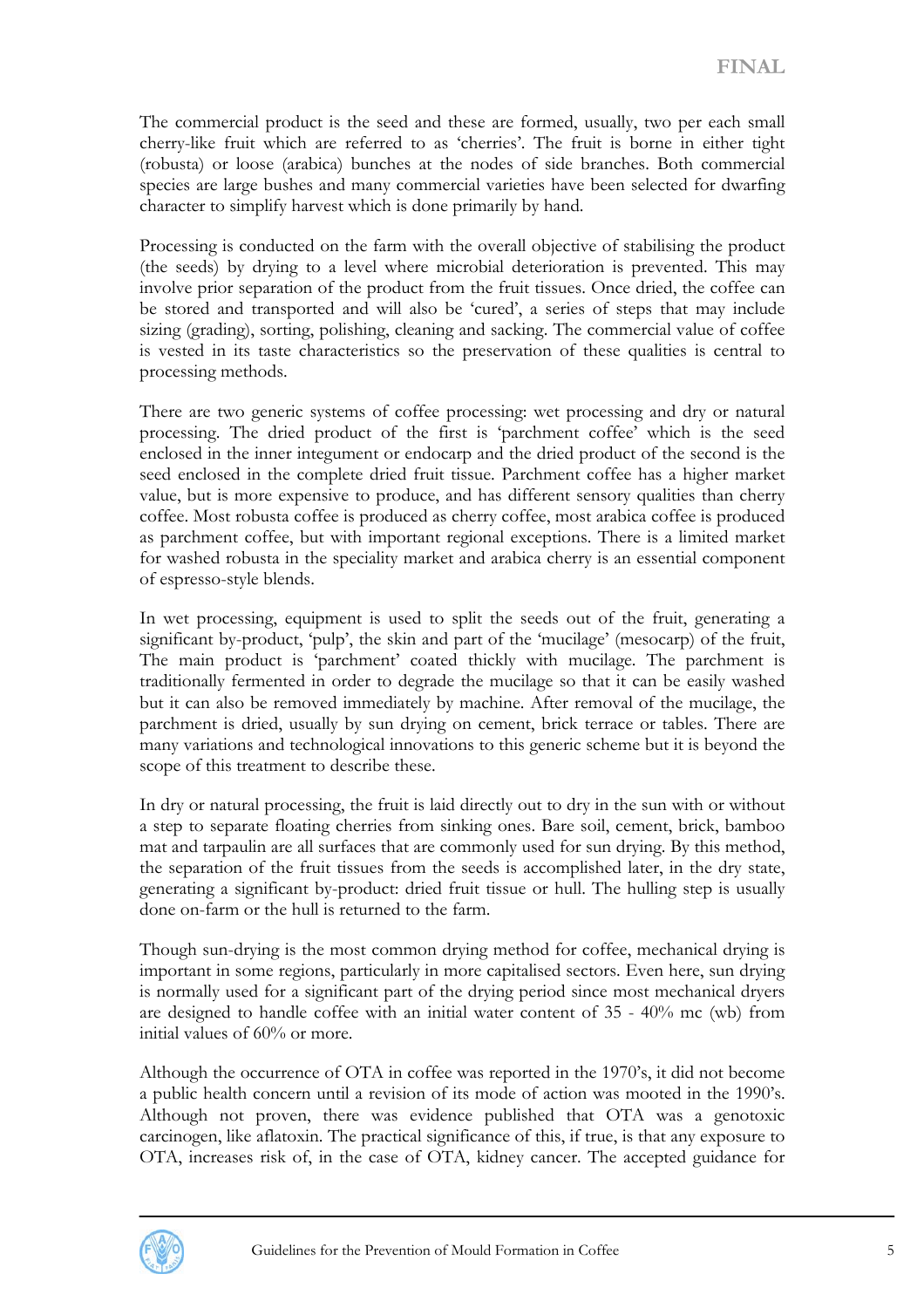The commercial product is the seed and these are formed, usually, two per each small cherry-like fruit which are referred to as 'cherries'. The fruit is borne in either tight (robusta) or loose (arabica) bunches at the nodes of side branches. Both commercial species are large bushes and many commercial varieties have been selected for dwarfing character to simplify harvest which is done primarily by hand.

Processing is conducted on the farm with the overall objective of stabilising the product (the seeds) by drying to a level where microbial deterioration is prevented. This may involve prior separation of the product from the fruit tissues. Once dried, the coffee can be stored and transported and will also be 'cured', a series of steps that may include sizing (grading), sorting, polishing, cleaning and sacking. The commercial value of coffee is vested in its taste characteristics so the preservation of these qualities is central to processing methods.

There are two generic systems of coffee processing: wet processing and dry or natural processing. The dried product of the first is 'parchment coffee' which is the seed enclosed in the inner integument or endocarp and the dried product of the second is the seed enclosed in the complete dried fruit tissue. Parchment coffee has a higher market value, but is more expensive to produce, and has different sensory qualities than cherry coffee. Most robusta coffee is produced as cherry coffee, most arabica coffee is produced as parchment coffee, but with important regional exceptions. There is a limited market for washed robusta in the speciality market and arabica cherry is an essential component of espresso-style blends.

In wet processing, equipment is used to split the seeds out of the fruit, generating a significant by-product, 'pulp', the skin and part of the 'mucilage' (mesocarp) of the fruit, The main product is 'parchment' coated thickly with mucilage. The parchment is traditionally fermented in order to degrade the mucilage so that it can be easily washed but it can also be removed immediately by machine. After removal of the mucilage, the parchment is dried, usually by sun drying on cement, brick terrace or tables. There are many variations and technological innovations to this generic scheme but it is beyond the scope of this treatment to describe these.

In dry or natural processing, the fruit is laid directly out to dry in the sun with or without a step to separate floating cherries from sinking ones. Bare soil, cement, brick, bamboo mat and tarpaulin are all surfaces that are commonly used for sun drying. By this method, the separation of the fruit tissues from the seeds is accomplished later, in the dry state, generating a significant by-product: dried fruit tissue or hull. The hulling step is usually done on-farm or the hull is returned to the farm.

Though sun-drying is the most common drying method for coffee, mechanical drying is important in some regions, particularly in more capitalised sectors. Even here, sun drying is normally used for a significant part of the drying period since most mechanical dryers are designed to handle coffee with an initial water content of 35 - 40% mc (wb) from initial values of 60% or more.

Although the occurrence of OTA in coffee was reported in the 1970's, it did not become a public health concern until a revision of its mode of action was mooted in the 1990's. Although not proven, there was evidence published that OTA was a genotoxic carcinogen, like aflatoxin. The practical significance of this, if true, is that any exposure to OTA, increases risk of, in the case of OTA, kidney cancer. The accepted guidance for

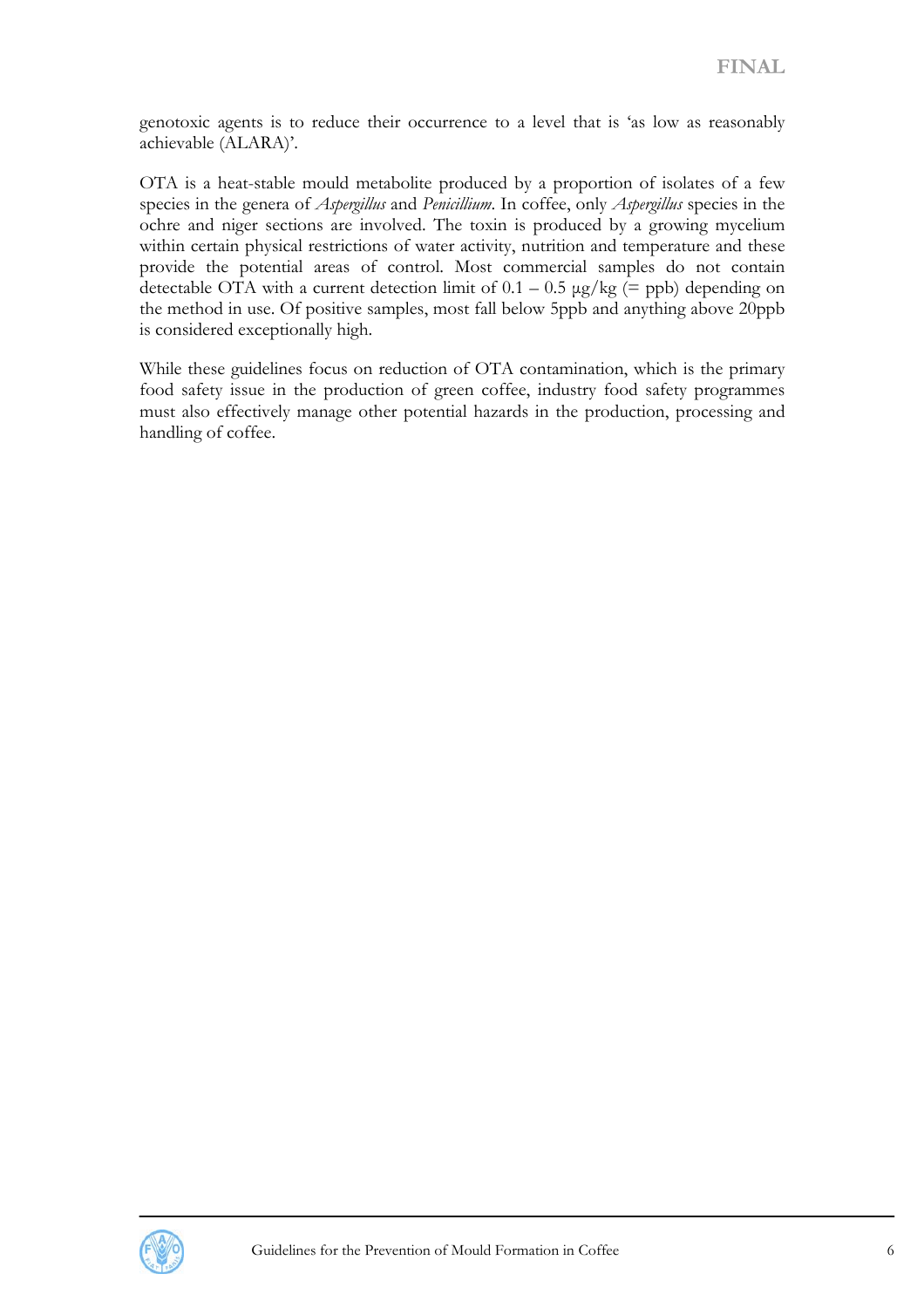genotoxic agents is to reduce their occurrence to a level that is 'as low as reasonably achievable (ALARA)'.

OTA is a heat-stable mould metabolite produced by a proportion of isolates of a few species in the genera of *Aspergillus* and *Penicillium*. In coffee, only *Aspergillus* species in the ochre and niger sections are involved. The toxin is produced by a growing mycelium within certain physical restrictions of water activity, nutrition and temperature and these provide the potential areas of control. Most commercial samples do not contain detectable OTA with a current detection limit of  $0.1 - 0.5 \mu g/kg$  (= ppb) depending on the method in use. Of positive samples, most fall below 5ppb and anything above 20ppb is considered exceptionally high.

While these guidelines focus on reduction of OTA contamination, which is the primary food safety issue in the production of green coffee, industry food safety programmes must also effectively manage other potential hazards in the production, processing and handling of coffee.

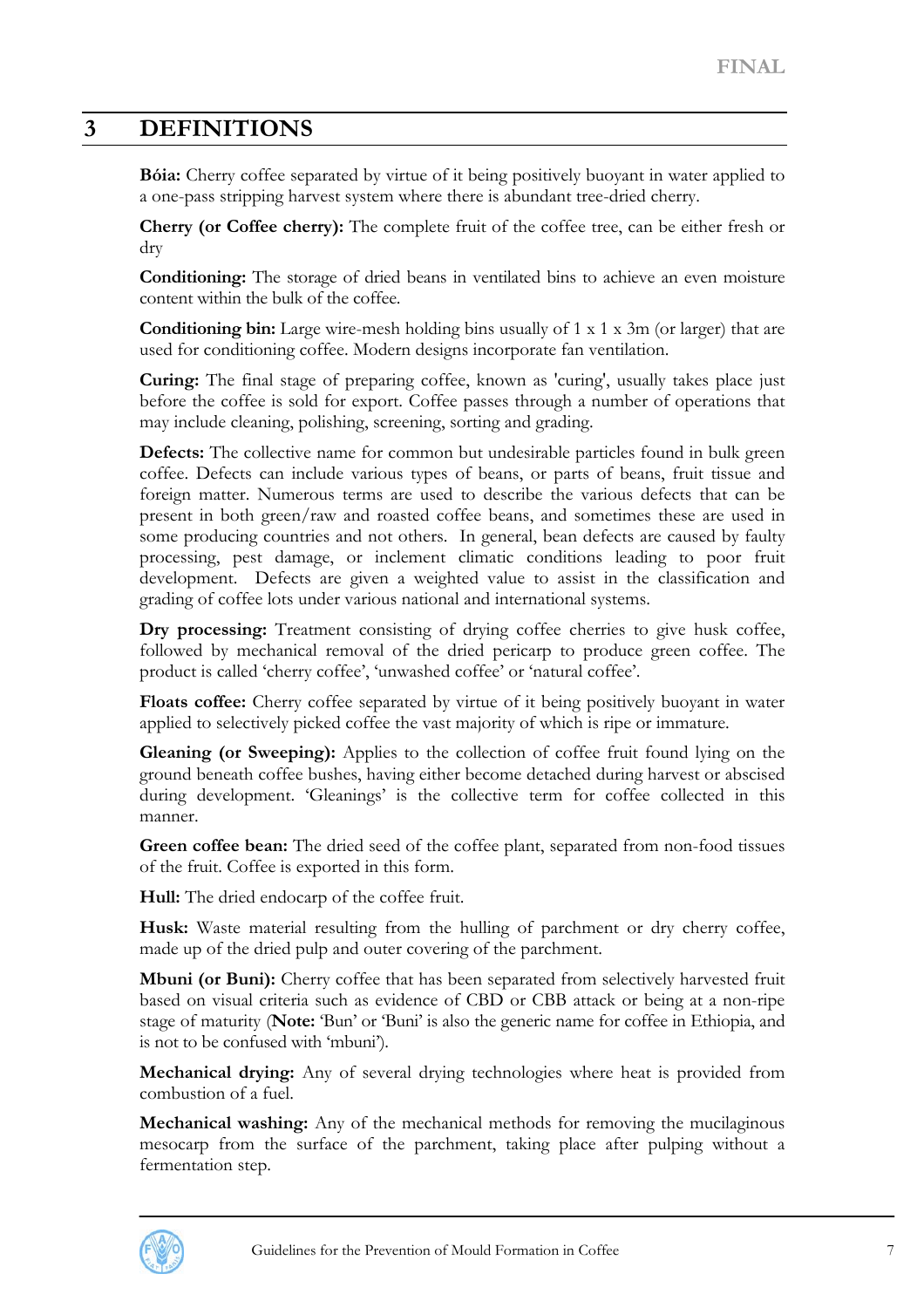# <span id="page-6-0"></span>**3 DEFINITIONS**

**Bóia:** Cherry coffee separated by virtue of it being positively buoyant in water applied to a one-pass stripping harvest system where there is abundant tree-dried cherry.

**Cherry (or Coffee cherry):** The complete fruit of the coffee tree, can be either fresh or dry

**Conditioning:** The storage of dried beans in ventilated bins to achieve an even moisture content within the bulk of the coffee.

**Conditioning bin:** Large wire-mesh holding bins usually of 1 x 1 x 3m (or larger) that are used for conditioning coffee. Modern designs incorporate fan ventilation.

**Curing:** The final stage of preparing coffee, known as 'curing', usually takes place just before the coffee is sold for export. Coffee passes through a number of operations that may include cleaning, polishing, screening, sorting and grading.

**Defects:** The collective name for common but undesirable particles found in bulk green coffee. Defects can include various types of beans, or parts of beans, fruit tissue and foreign matter. Numerous terms are used to describe the various defects that can be present in both green/raw and roasted coffee beans, and sometimes these are used in some producing countries and not others. In general, bean defects are caused by faulty processing, pest damage, or inclement climatic conditions leading to poor fruit development. Defects are given a weighted value to assist in the classification and grading of coffee lots under various national and international systems.

Dry processing: Treatment consisting of drying coffee cherries to give husk coffee, followed by mechanical removal of the dried pericarp to produce green coffee. The product is called 'cherry coffee', 'unwashed coffee' or 'natural coffee'.

**Floats coffee:** Cherry coffee separated by virtue of it being positively buoyant in water applied to selectively picked coffee the vast majority of which is ripe or immature.

**Gleaning (or Sweeping):** Applies to the collection of coffee fruit found lying on the ground beneath coffee bushes, having either become detached during harvest or abscised during development. 'Gleanings' is the collective term for coffee collected in this manner.

**Green coffee bean:** The dried seed of the coffee plant, separated from non-food tissues of the fruit. Coffee is exported in this form.

**Hull:** The dried endocarp of the coffee fruit.

**Husk:** Waste material resulting from the hulling of parchment or dry cherry coffee, made up of the dried pulp and outer covering of the parchment.

**Mbuni (or Buni):** Cherry coffee that has been separated from selectively harvested fruit based on visual criteria such as evidence of CBD or CBB attack or being at a non-ripe stage of maturity (**Note:** 'Bun' or 'Buni' is also the generic name for coffee in Ethiopia, and is not to be confused with 'mbuni').

**Mechanical drying:** Any of several drying technologies where heat is provided from combustion of a fuel.

**Mechanical washing:** Any of the mechanical methods for removing the mucilaginous mesocarp from the surface of the parchment, taking place after pulping without a fermentation step.

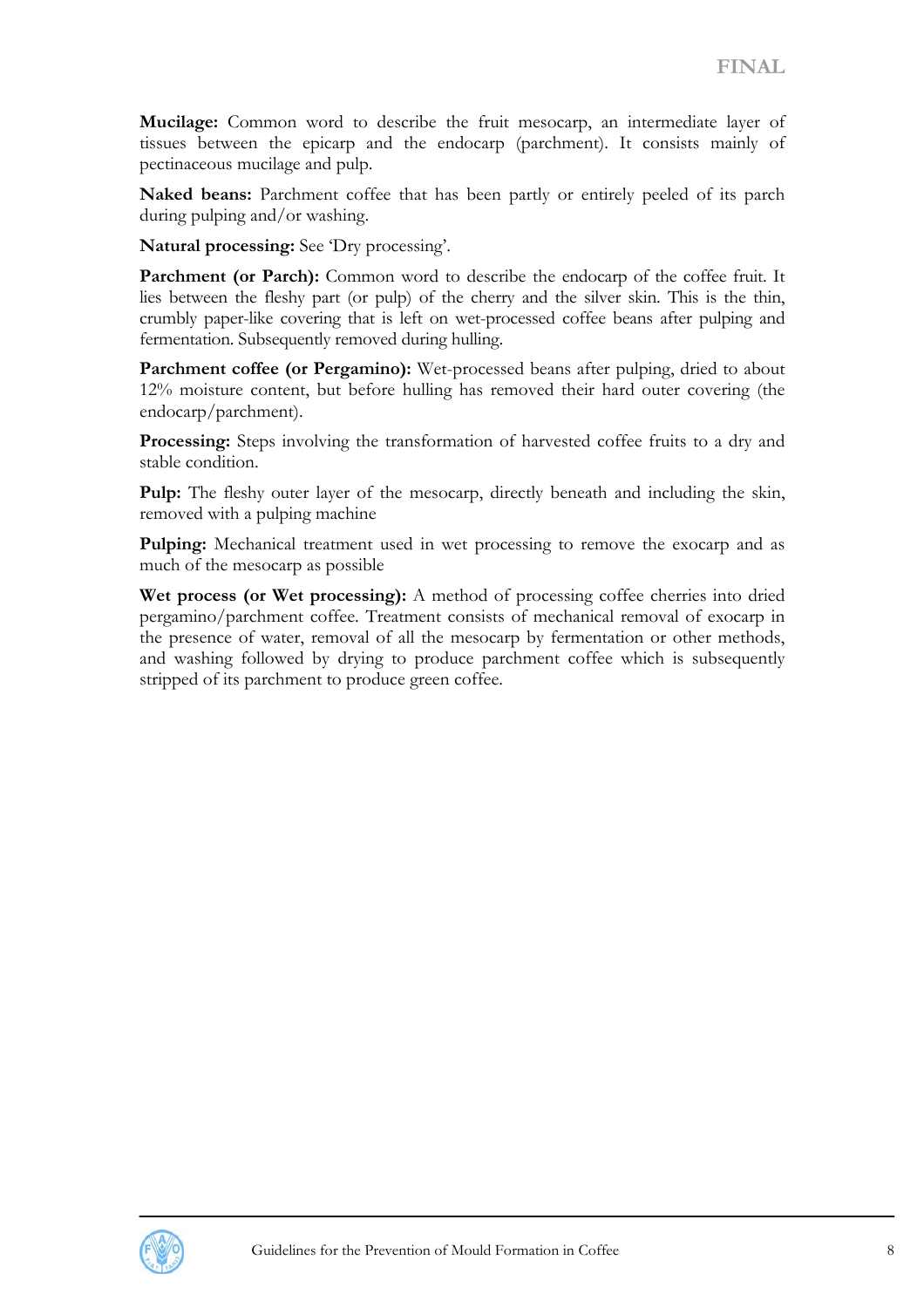**Mucilage:** Common word to describe the fruit mesocarp, an intermediate layer of tissues between the epicarp and the endocarp (parchment). It consists mainly of pectinaceous mucilage and pulp.

**Naked beans:** Parchment coffee that has been partly or entirely peeled of its parch during pulping and/or washing.

**Natural processing:** See 'Dry processing'.

Parchment (or Parch): Common word to describe the endocarp of the coffee fruit. It lies between the fleshy part (or pulp) of the cherry and the silver skin. This is the thin, crumbly paper-like covering that is left on wet-processed coffee beans after pulping and fermentation. Subsequently removed during hulling.

**Parchment coffee (or Pergamino):** Wet-processed beans after pulping, dried to about 12% moisture content, but before hulling has removed their hard outer covering (the endocarp/parchment).

**Processing:** Steps involving the transformation of harvested coffee fruits to a dry and stable condition.

**Pulp:** The fleshy outer layer of the mesocarp, directly beneath and including the skin, removed with a pulping machine

**Pulping:** Mechanical treatment used in wet processing to remove the exocarp and as much of the mesocarp as possible

**Wet process (or Wet processing):** A method of processing coffee cherries into dried pergamino/parchment coffee. Treatment consists of mechanical removal of exocarp in the presence of water, removal of all the mesocarp by fermentation or other methods, and washing followed by drying to produce parchment coffee which is subsequently stripped of its parchment to produce green coffee.

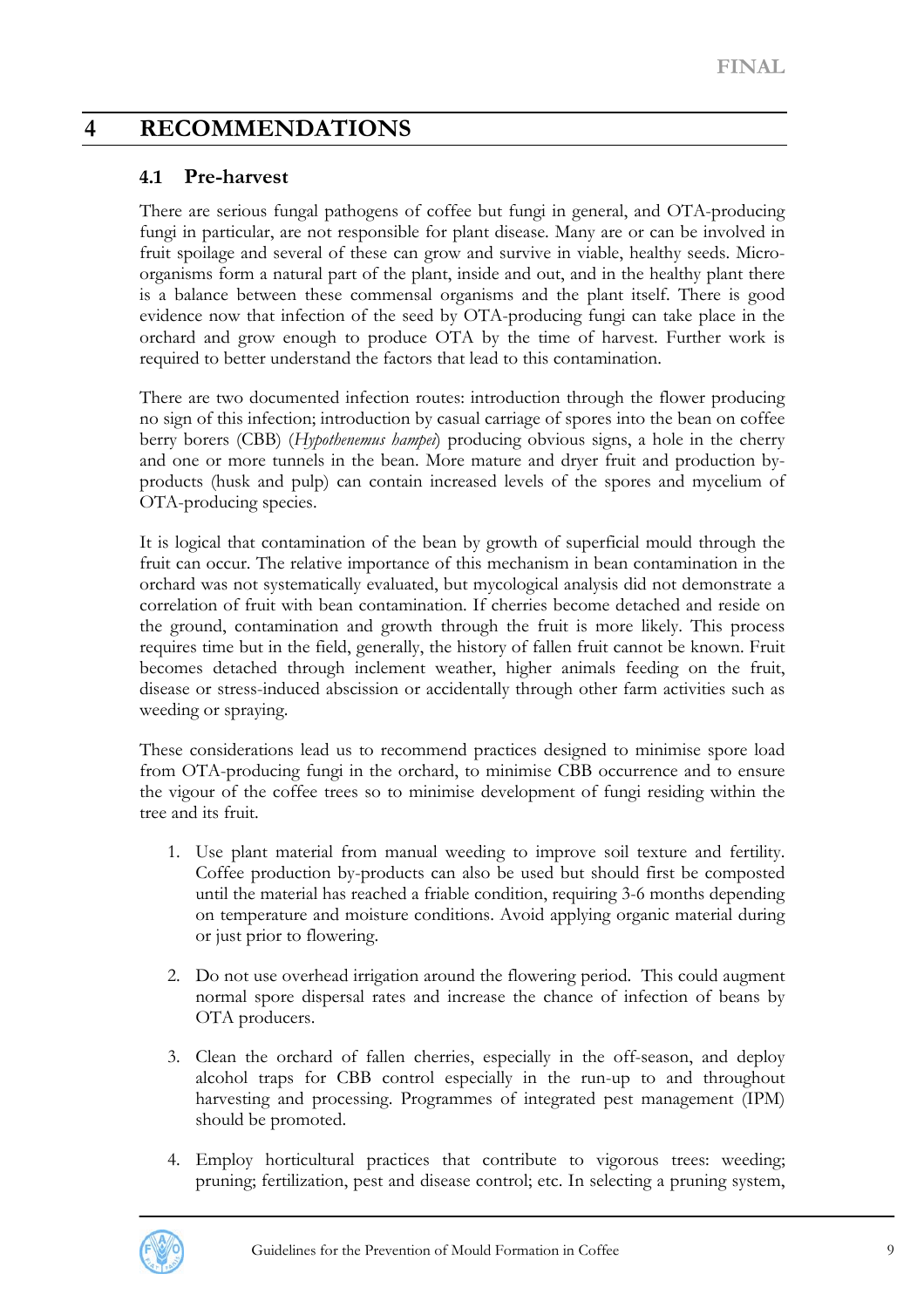# <span id="page-8-0"></span>**4 RECOMMENDATIONS**

#### **4.1 Pre-harvest**

There are serious fungal pathogens of coffee but fungi in general, and OTA-producing fungi in particular, are not responsible for plant disease. Many are or can be involved in fruit spoilage and several of these can grow and survive in viable, healthy seeds. Microorganisms form a natural part of the plant, inside and out, and in the healthy plant there is a balance between these commensal organisms and the plant itself. There is good evidence now that infection of the seed by OTA-producing fungi can take place in the orchard and grow enough to produce OTA by the time of harvest. Further work is required to better understand the factors that lead to this contamination.

There are two documented infection routes: introduction through the flower producing no sign of this infection; introduction by casual carriage of spores into the bean on coffee berry borers (CBB) (*Hypothenemus hampei*) producing obvious signs, a hole in the cherry and one or more tunnels in the bean. More mature and dryer fruit and production byproducts (husk and pulp) can contain increased levels of the spores and mycelium of OTA-producing species.

It is logical that contamination of the bean by growth of superficial mould through the fruit can occur. The relative importance of this mechanism in bean contamination in the orchard was not systematically evaluated, but mycological analysis did not demonstrate a correlation of fruit with bean contamination. If cherries become detached and reside on the ground, contamination and growth through the fruit is more likely. This process requires time but in the field, generally, the history of fallen fruit cannot be known. Fruit becomes detached through inclement weather, higher animals feeding on the fruit, disease or stress-induced abscission or accidentally through other farm activities such as weeding or spraying.

These considerations lead us to recommend practices designed to minimise spore load from OTA-producing fungi in the orchard, to minimise CBB occurrence and to ensure the vigour of the coffee trees so to minimise development of fungi residing within the tree and its fruit.

- 1. Use plant material from manual weeding to improve soil texture and fertility. Coffee production by-products can also be used but should first be composted until the material has reached a friable condition, requiring 3-6 months depending on temperature and moisture conditions. Avoid applying organic material during or just prior to flowering.
- 2. Do not use overhead irrigation around the flowering period. This could augment normal spore dispersal rates and increase the chance of infection of beans by OTA producers.
- 3. Clean the orchard of fallen cherries, especially in the off-season, and deploy alcohol traps for CBB control especially in the run-up to and throughout harvesting and processing. Programmes of integrated pest management (IPM) should be promoted.
- 4. Employ horticultural practices that contribute to vigorous trees: weeding; pruning; fertilization, pest and disease control; etc. In selecting a pruning system,

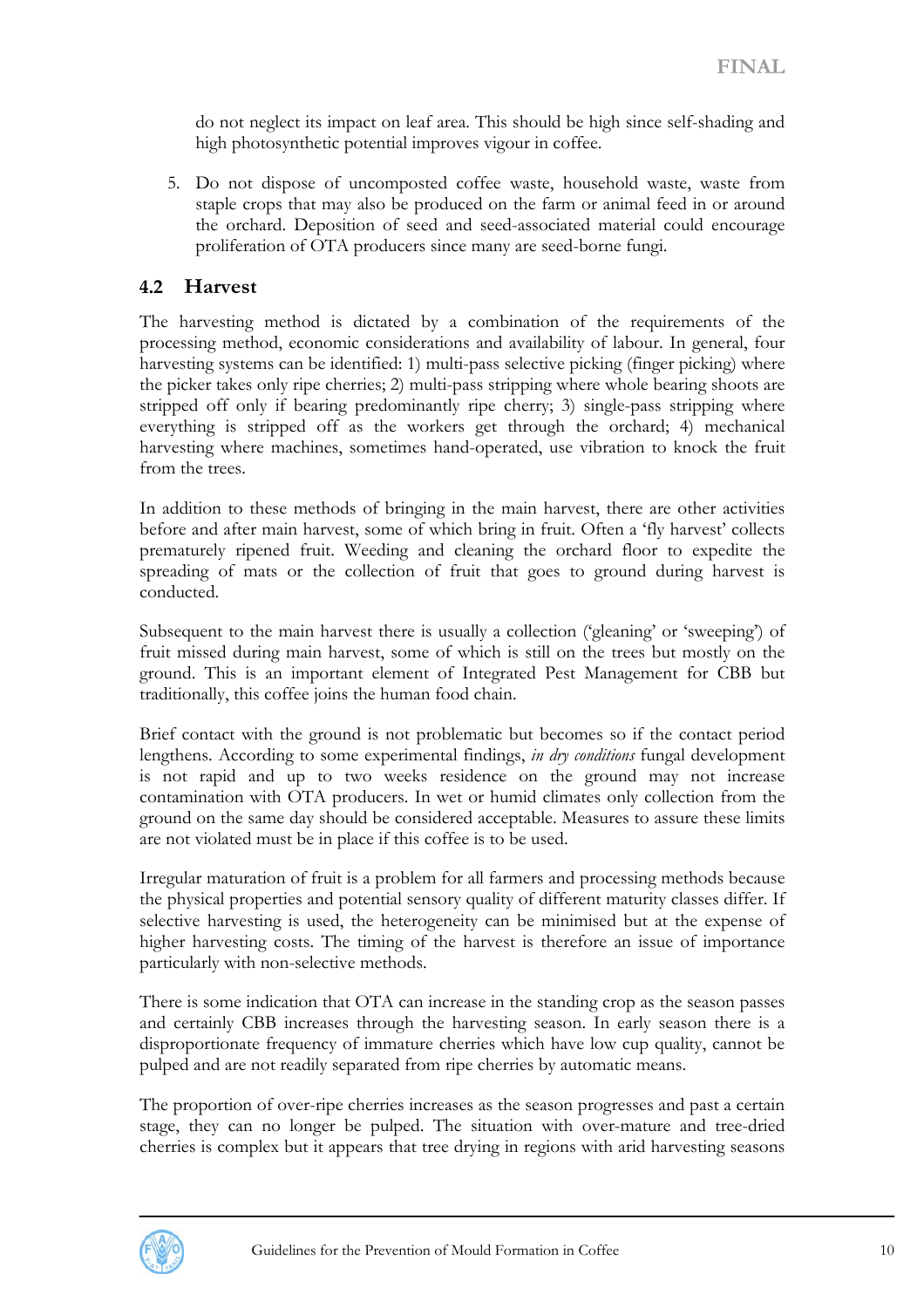<span id="page-9-0"></span>do not neglect its impact on leaf area. This should be high since self-shading and high photosynthetic potential improves vigour in coffee.

5. Do not dispose of uncomposted coffee waste, household waste, waste from staple crops that may also be produced on the farm or animal feed in or around the orchard. Deposition of seed and seed-associated material could encourage proliferation of OTA producers since many are seed-borne fungi.

#### **4.2 Harvest**

The harvesting method is dictated by a combination of the requirements of the processing method, economic considerations and availability of labour. In general, four harvesting systems can be identified: 1) multi-pass selective picking (finger picking) where the picker takes only ripe cherries; 2) multi-pass stripping where whole bearing shoots are stripped off only if bearing predominantly ripe cherry; 3) single-pass stripping where everything is stripped off as the workers get through the orchard; 4) mechanical harvesting where machines, sometimes hand-operated, use vibration to knock the fruit from the trees.

In addition to these methods of bringing in the main harvest, there are other activities before and after main harvest, some of which bring in fruit. Often a 'fly harvest' collects prematurely ripened fruit. Weeding and cleaning the orchard floor to expedite the spreading of mats or the collection of fruit that goes to ground during harvest is conducted.

Subsequent to the main harvest there is usually a collection ('gleaning' or 'sweeping') of fruit missed during main harvest, some of which is still on the trees but mostly on the ground. This is an important element of Integrated Pest Management for CBB but traditionally, this coffee joins the human food chain.

Brief contact with the ground is not problematic but becomes so if the contact period lengthens. According to some experimental findings, *in dry conditions* fungal development is not rapid and up to two weeks residence on the ground may not increase contamination with OTA producers. In wet or humid climates only collection from the ground on the same day should be considered acceptable. Measures to assure these limits are not violated must be in place if this coffee is to be used.

Irregular maturation of fruit is a problem for all farmers and processing methods because the physical properties and potential sensory quality of different maturity classes differ. If selective harvesting is used, the heterogeneity can be minimised but at the expense of higher harvesting costs. The timing of the harvest is therefore an issue of importance particularly with non-selective methods.

There is some indication that OTA can increase in the standing crop as the season passes and certainly CBB increases through the harvesting season. In early season there is a disproportionate frequency of immature cherries which have low cup quality, cannot be pulped and are not readily separated from ripe cherries by automatic means.

The proportion of over-ripe cherries increases as the season progresses and past a certain stage, they can no longer be pulped. The situation with over-mature and tree-dried cherries is complex but it appears that tree drying in regions with arid harvesting seasons

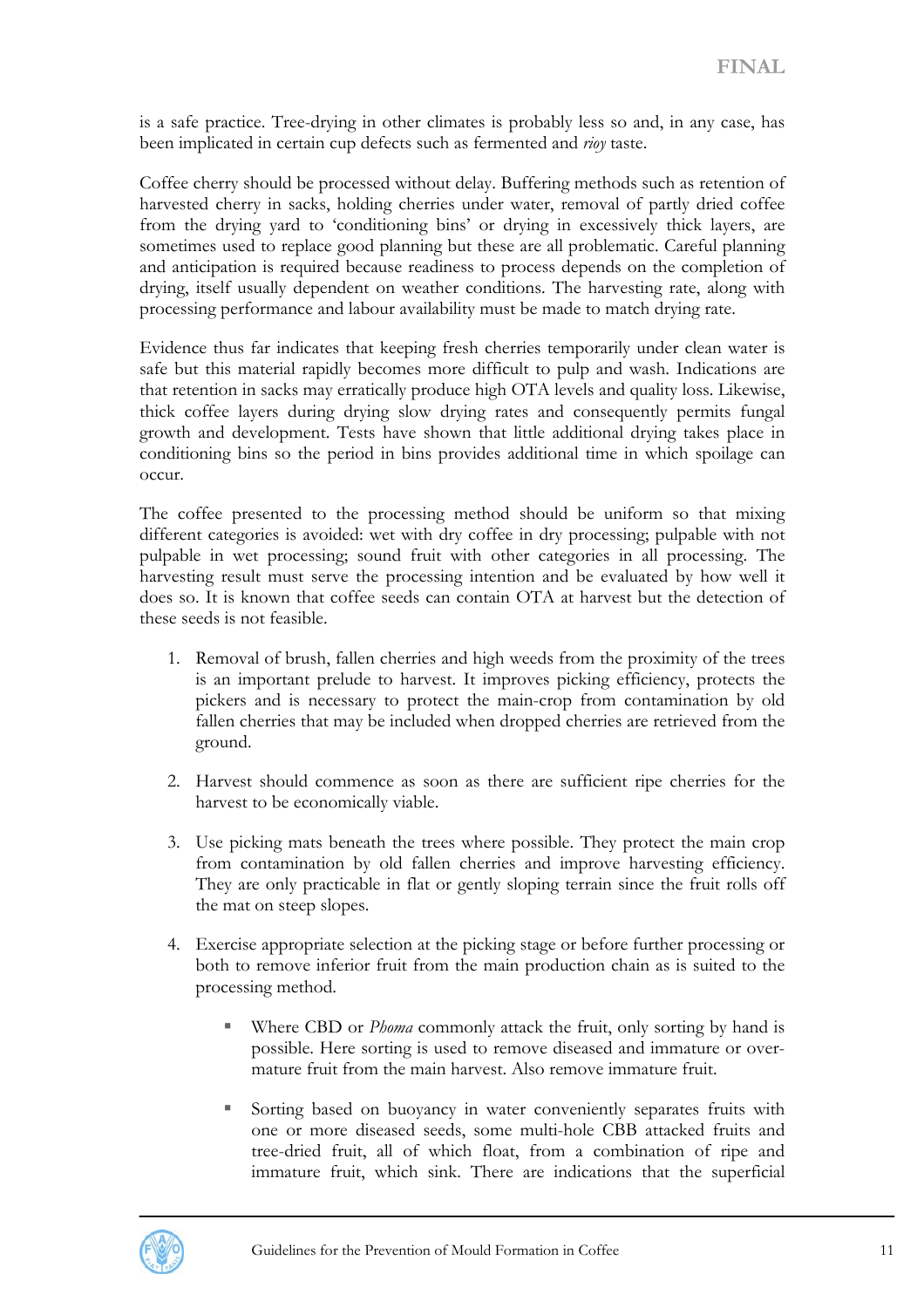is a safe practice. Tree-drying in other climates is probably less so and, in any case, has been implicated in certain cup defects such as fermented and *rioy* taste.

Coffee cherry should be processed without delay. Buffering methods such as retention of harvested cherry in sacks, holding cherries under water, removal of partly dried coffee from the drying yard to 'conditioning bins' or drying in excessively thick layers, are sometimes used to replace good planning but these are all problematic. Careful planning and anticipation is required because readiness to process depends on the completion of drying, itself usually dependent on weather conditions. The harvesting rate, along with processing performance and labour availability must be made to match drying rate.

Evidence thus far indicates that keeping fresh cherries temporarily under clean water is safe but this material rapidly becomes more difficult to pulp and wash. Indications are that retention in sacks may erratically produce high OTA levels and quality loss. Likewise, thick coffee layers during drying slow drying rates and consequently permits fungal growth and development. Tests have shown that little additional drying takes place in conditioning bins so the period in bins provides additional time in which spoilage can occur.

The coffee presented to the processing method should be uniform so that mixing different categories is avoided: wet with dry coffee in dry processing; pulpable with not pulpable in wet processing; sound fruit with other categories in all processing. The harvesting result must serve the processing intention and be evaluated by how well it does so. It is known that coffee seeds can contain OTA at harvest but the detection of these seeds is not feasible.

- 1. Removal of brush, fallen cherries and high weeds from the proximity of the trees is an important prelude to harvest. It improves picking efficiency, protects the pickers and is necessary to protect the main-crop from contamination by old fallen cherries that may be included when dropped cherries are retrieved from the ground.
- 2. Harvest should commence as soon as there are sufficient ripe cherries for the harvest to be economically viable.
- 3. Use picking mats beneath the trees where possible. They protect the main crop from contamination by old fallen cherries and improve harvesting efficiency. They are only practicable in flat or gently sloping terrain since the fruit rolls off the mat on steep slopes.
- 4. Exercise appropriate selection at the picking stage or before further processing or both to remove inferior fruit from the main production chain as is suited to the processing method.
	- Where CBD or *Phoma* commonly attack the fruit, only sorting by hand is possible. Here sorting is used to remove diseased and immature or overmature fruit from the main harvest. Also remove immature fruit.
	- Sorting based on buoyancy in water conveniently separates fruits with one or more diseased seeds, some multi-hole CBB attacked fruits and tree-dried fruit, all of which float, from a combination of ripe and immature fruit, which sink. There are indications that the superficial

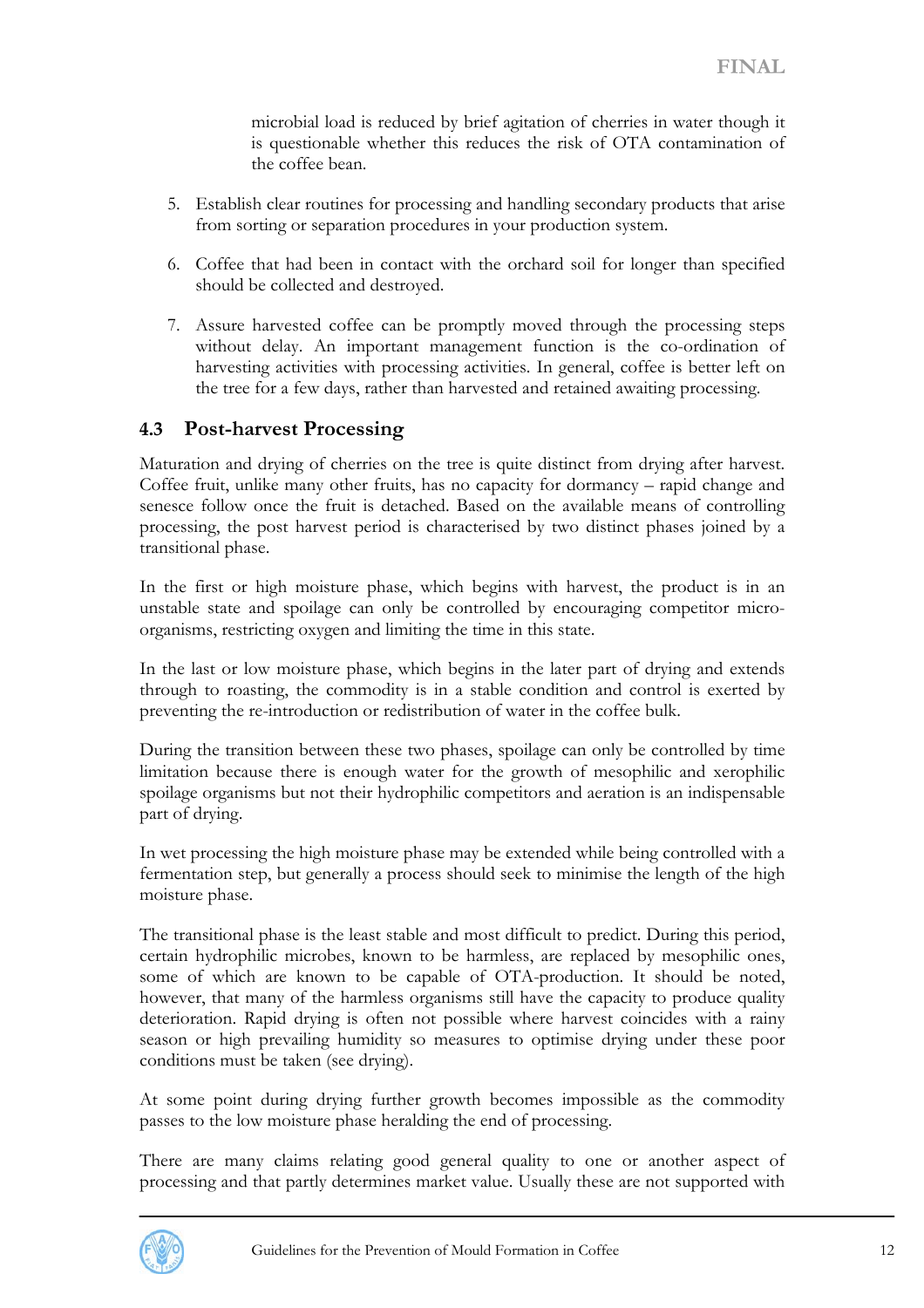microbial load is reduced by brief agitation of cherries in water though it is questionable whether this reduces the risk of OTA contamination of the coffee bean.

- <span id="page-11-0"></span>5. Establish clear routines for processing and handling secondary products that arise from sorting or separation procedures in your production system.
- 6. Coffee that had been in contact with the orchard soil for longer than specified should be collected and destroyed.
- 7. Assure harvested coffee can be promptly moved through the processing steps without delay. An important management function is the co-ordination of harvesting activities with processing activities. In general, coffee is better left on the tree for a few days, rather than harvested and retained awaiting processing.

#### **4.3 Post-harvest Processing**

Maturation and drying of cherries on the tree is quite distinct from drying after harvest. Coffee fruit, unlike many other fruits, has no capacity for dormancy – rapid change and senesce follow once the fruit is detached. Based on the available means of controlling processing, the post harvest period is characterised by two distinct phases joined by a transitional phase.

In the first or high moisture phase, which begins with harvest, the product is in an unstable state and spoilage can only be controlled by encouraging competitor microorganisms, restricting oxygen and limiting the time in this state.

In the last or low moisture phase, which begins in the later part of drying and extends through to roasting, the commodity is in a stable condition and control is exerted by preventing the re-introduction or redistribution of water in the coffee bulk.

During the transition between these two phases, spoilage can only be controlled by time limitation because there is enough water for the growth of mesophilic and xerophilic spoilage organisms but not their hydrophilic competitors and aeration is an indispensable part of drying.

In wet processing the high moisture phase may be extended while being controlled with a fermentation step, but generally a process should seek to minimise the length of the high moisture phase.

The transitional phase is the least stable and most difficult to predict. During this period, certain hydrophilic microbes, known to be harmless, are replaced by mesophilic ones, some of which are known to be capable of OTA-production. It should be noted, however, that many of the harmless organisms still have the capacity to produce quality deterioration. Rapid drying is often not possible where harvest coincides with a rainy season or high prevailing humidity so measures to optimise drying under these poor conditions must be taken (see drying).

At some point during drying further growth becomes impossible as the commodity passes to the low moisture phase heralding the end of processing.

There are many claims relating good general quality to one or another aspect of processing and that partly determines market value. Usually these are not supported with

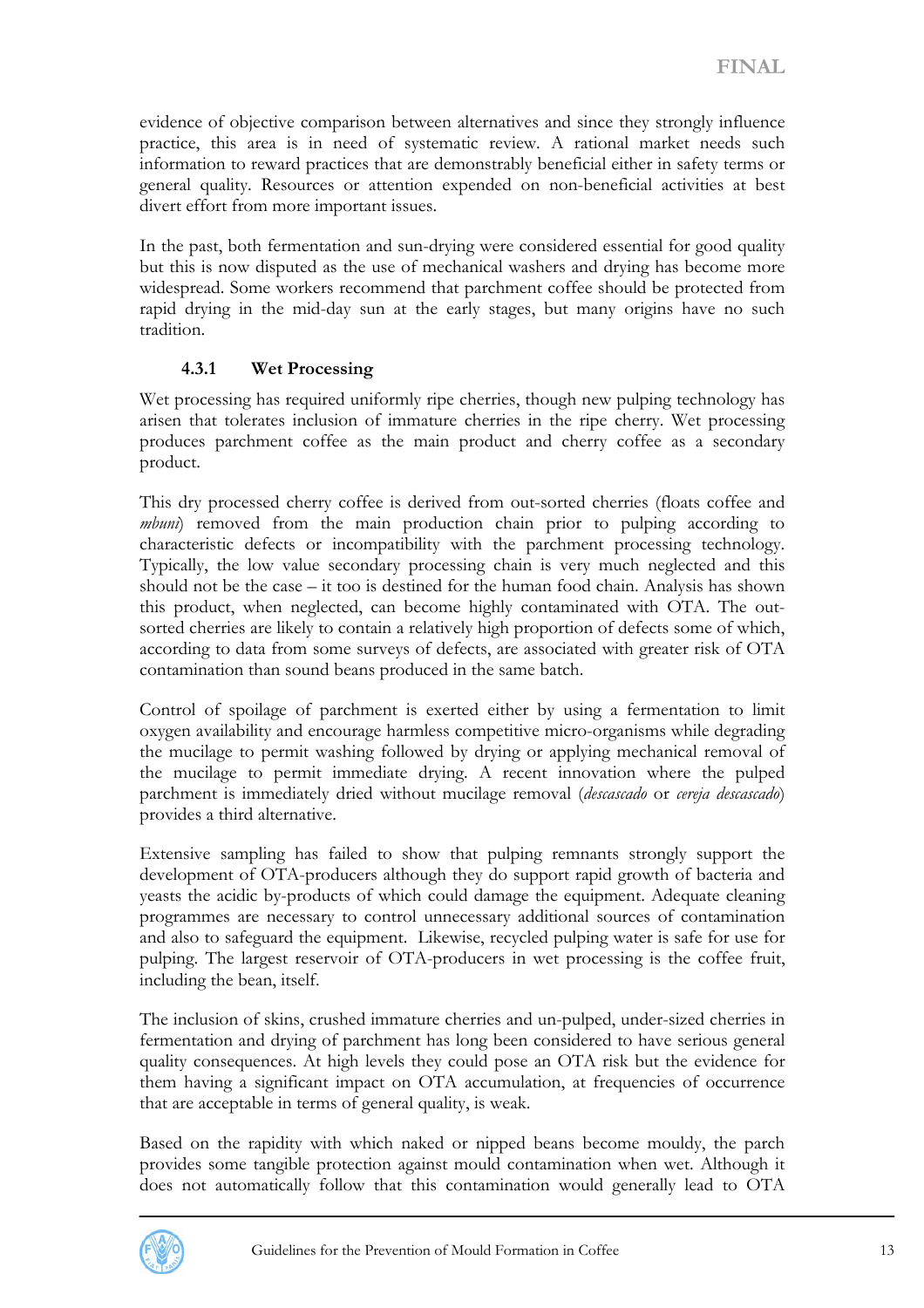<span id="page-12-0"></span>evidence of objective comparison between alternatives and since they strongly influence practice, this area is in need of systematic review. A rational market needs such information to reward practices that are demonstrably beneficial either in safety terms or general quality. Resources or attention expended on non-beneficial activities at best divert effort from more important issues.

In the past, both fermentation and sun-drying were considered essential for good quality but this is now disputed as the use of mechanical washers and drying has become more widespread. Some workers recommend that parchment coffee should be protected from rapid drying in the mid-day sun at the early stages, but many origins have no such tradition.

#### **4.3.1 Wet Processing**

Wet processing has required uniformly ripe cherries, though new pulping technology has arisen that tolerates inclusion of immature cherries in the ripe cherry. Wet processing produces parchment coffee as the main product and cherry coffee as a secondary product.

This dry processed cherry coffee is derived from out-sorted cherries (floats coffee and *mbuni*) removed from the main production chain prior to pulping according to characteristic defects or incompatibility with the parchment processing technology. Typically, the low value secondary processing chain is very much neglected and this should not be the case – it too is destined for the human food chain. Analysis has shown this product, when neglected, can become highly contaminated with OTA. The outsorted cherries are likely to contain a relatively high proportion of defects some of which, according to data from some surveys of defects, are associated with greater risk of OTA contamination than sound beans produced in the same batch.

Control of spoilage of parchment is exerted either by using a fermentation to limit oxygen availability and encourage harmless competitive micro-organisms while degrading the mucilage to permit washing followed by drying or applying mechanical removal of the mucilage to permit immediate drying. A recent innovation where the pulped parchment is immediately dried without mucilage removal (*descascado* or *cereja descascado*) provides a third alternative.

Extensive sampling has failed to show that pulping remnants strongly support the development of OTA-producers although they do support rapid growth of bacteria and yeasts the acidic by-products of which could damage the equipment. Adequate cleaning programmes are necessary to control unnecessary additional sources of contamination and also to safeguard the equipment. Likewise, recycled pulping water is safe for use for pulping. The largest reservoir of OTA-producers in wet processing is the coffee fruit, including the bean, itself.

The inclusion of skins, crushed immature cherries and un-pulped, under-sized cherries in fermentation and drying of parchment has long been considered to have serious general quality consequences. At high levels they could pose an OTA risk but the evidence for them having a significant impact on OTA accumulation, at frequencies of occurrence that are acceptable in terms of general quality, is weak.

Based on the rapidity with which naked or nipped beans become mouldy, the parch provides some tangible protection against mould contamination when wet. Although it does not automatically follow that this contamination would generally lead to OTA

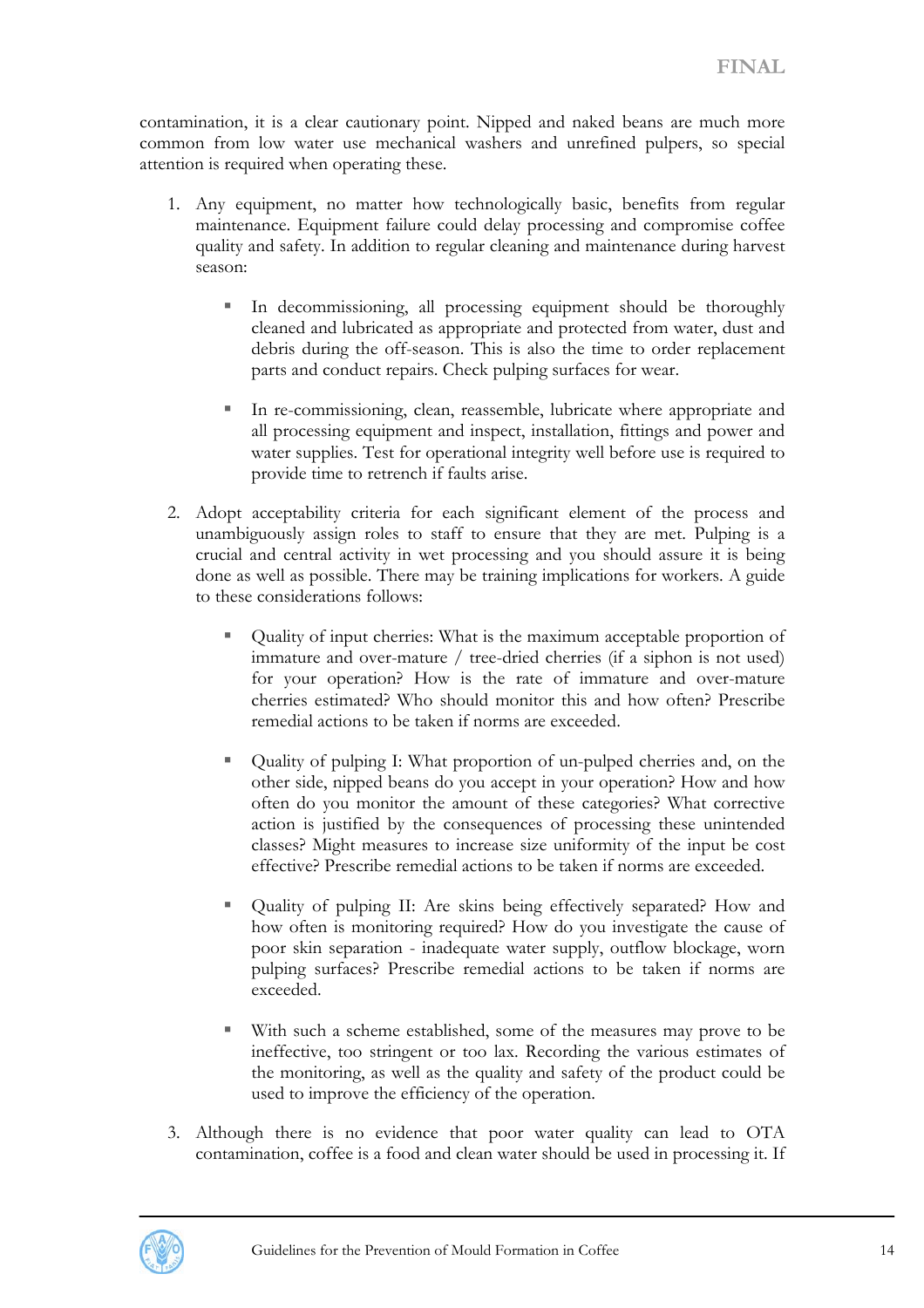contamination, it is a clear cautionary point. Nipped and naked beans are much more common from low water use mechanical washers and unrefined pulpers, so special attention is required when operating these.

- 1. Any equipment, no matter how technologically basic, benefits from regular maintenance. Equipment failure could delay processing and compromise coffee quality and safety. In addition to regular cleaning and maintenance during harvest season:
	- In decommissioning, all processing equipment should be thoroughly cleaned and lubricated as appropriate and protected from water, dust and debris during the off-season. This is also the time to order replacement parts and conduct repairs. Check pulping surfaces for wear.
	- In re-commissioning, clean, reassemble, lubricate where appropriate and all processing equipment and inspect, installation, fittings and power and water supplies. Test for operational integrity well before use is required to provide time to retrench if faults arise.
- 2. Adopt acceptability criteria for each significant element of the process and unambiguously assign roles to staff to ensure that they are met. Pulping is a crucial and central activity in wet processing and you should assure it is being done as well as possible. There may be training implications for workers. A guide to these considerations follows:
	- Quality of input cherries: What is the maximum acceptable proportion of immature and over-mature / tree-dried cherries (if a siphon is not used) for your operation? How is the rate of immature and over-mature cherries estimated? Who should monitor this and how often? Prescribe remedial actions to be taken if norms are exceeded.
	- Quality of pulping I: What proportion of un-pulped cherries and, on the other side, nipped beans do you accept in your operation? How and how often do you monitor the amount of these categories? What corrective action is justified by the consequences of processing these unintended classes? Might measures to increase size uniformity of the input be cost effective? Prescribe remedial actions to be taken if norms are exceeded.
	- Quality of pulping II: Are skins being effectively separated? How and how often is monitoring required? How do you investigate the cause of poor skin separation - inadequate water supply, outflow blockage, worn pulping surfaces? Prescribe remedial actions to be taken if norms are exceeded.
	- With such a scheme established, some of the measures may prove to be ineffective, too stringent or too lax. Recording the various estimates of the monitoring, as well as the quality and safety of the product could be used to improve the efficiency of the operation.
- 3. Although there is no evidence that poor water quality can lead to OTA contamination, coffee is a food and clean water should be used in processing it. If

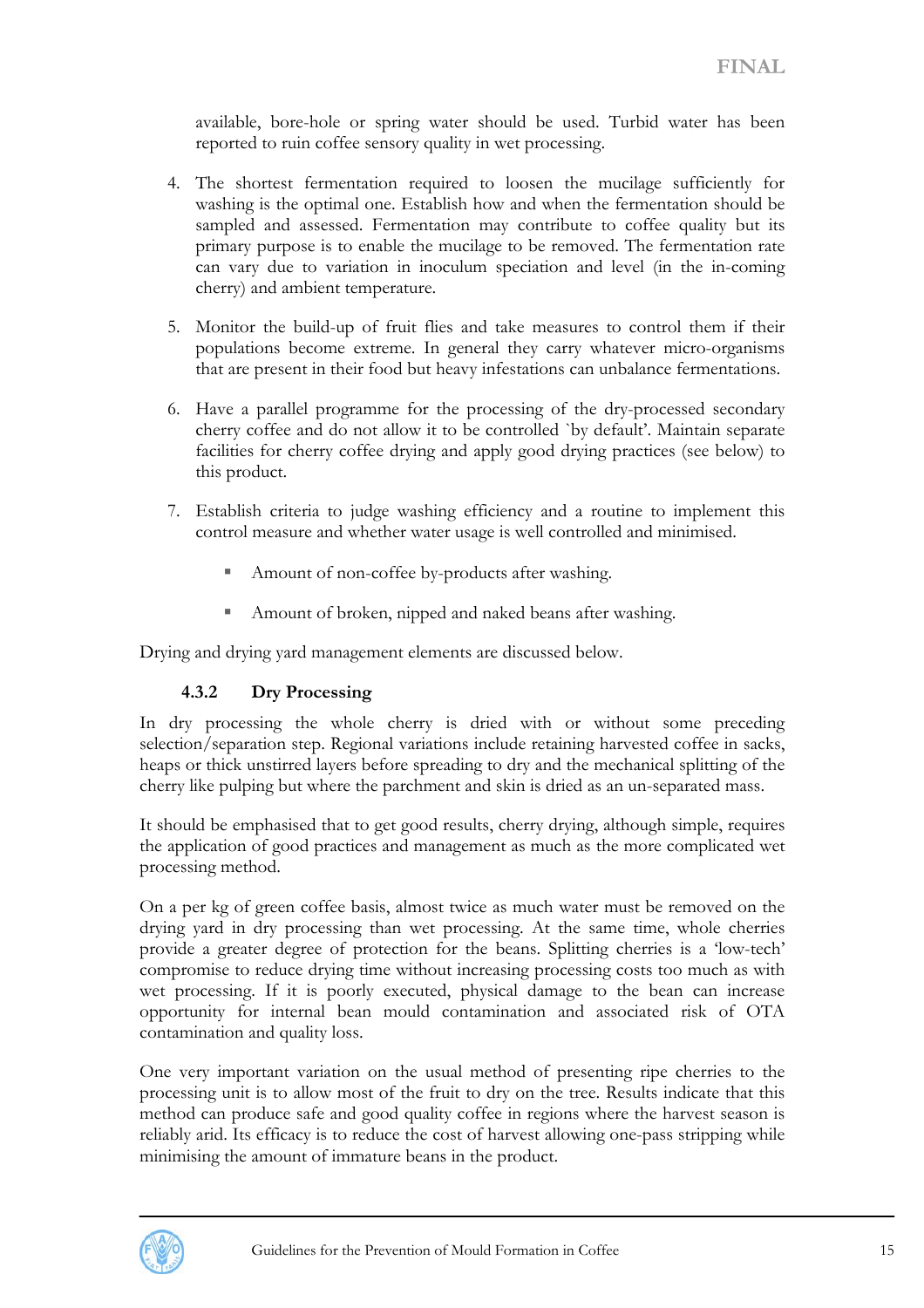<span id="page-14-0"></span>available, bore-hole or spring water should be used. Turbid water has been reported to ruin coffee sensory quality in wet processing.

- 4. The shortest fermentation required to loosen the mucilage sufficiently for washing is the optimal one. Establish how and when the fermentation should be sampled and assessed. Fermentation may contribute to coffee quality but its primary purpose is to enable the mucilage to be removed. The fermentation rate can vary due to variation in inoculum speciation and level (in the in-coming cherry) and ambient temperature.
- 5. Monitor the build-up of fruit flies and take measures to control them if their populations become extreme. In general they carry whatever micro-organisms that are present in their food but heavy infestations can unbalance fermentations.
- 6. Have a parallel programme for the processing of the dry-processed secondary cherry coffee and do not allow it to be controlled `by default'. Maintain separate facilities for cherry coffee drying and apply good drying practices (see below) to this product.
- 7. Establish criteria to judge washing efficiency and a routine to implement this control measure and whether water usage is well controlled and minimised.
	- Amount of non-coffee by-products after washing.
	- Amount of broken, nipped and naked beans after washing.

Drying and drying yard management elements are discussed below.

#### **4.3.2 Dry Processing**

In dry processing the whole cherry is dried with or without some preceding selection/separation step. Regional variations include retaining harvested coffee in sacks, heaps or thick unstirred layers before spreading to dry and the mechanical splitting of the cherry like pulping but where the parchment and skin is dried as an un-separated mass.

It should be emphasised that to get good results, cherry drying, although simple, requires the application of good practices and management as much as the more complicated wet processing method.

On a per kg of green coffee basis, almost twice as much water must be removed on the drying yard in dry processing than wet processing. At the same time, whole cherries provide a greater degree of protection for the beans. Splitting cherries is a 'low-tech' compromise to reduce drying time without increasing processing costs too much as with wet processing. If it is poorly executed, physical damage to the bean can increase opportunity for internal bean mould contamination and associated risk of OTA contamination and quality loss.

One very important variation on the usual method of presenting ripe cherries to the processing unit is to allow most of the fruit to dry on the tree. Results indicate that this method can produce safe and good quality coffee in regions where the harvest season is reliably arid. Its efficacy is to reduce the cost of harvest allowing one-pass stripping while minimising the amount of immature beans in the product.

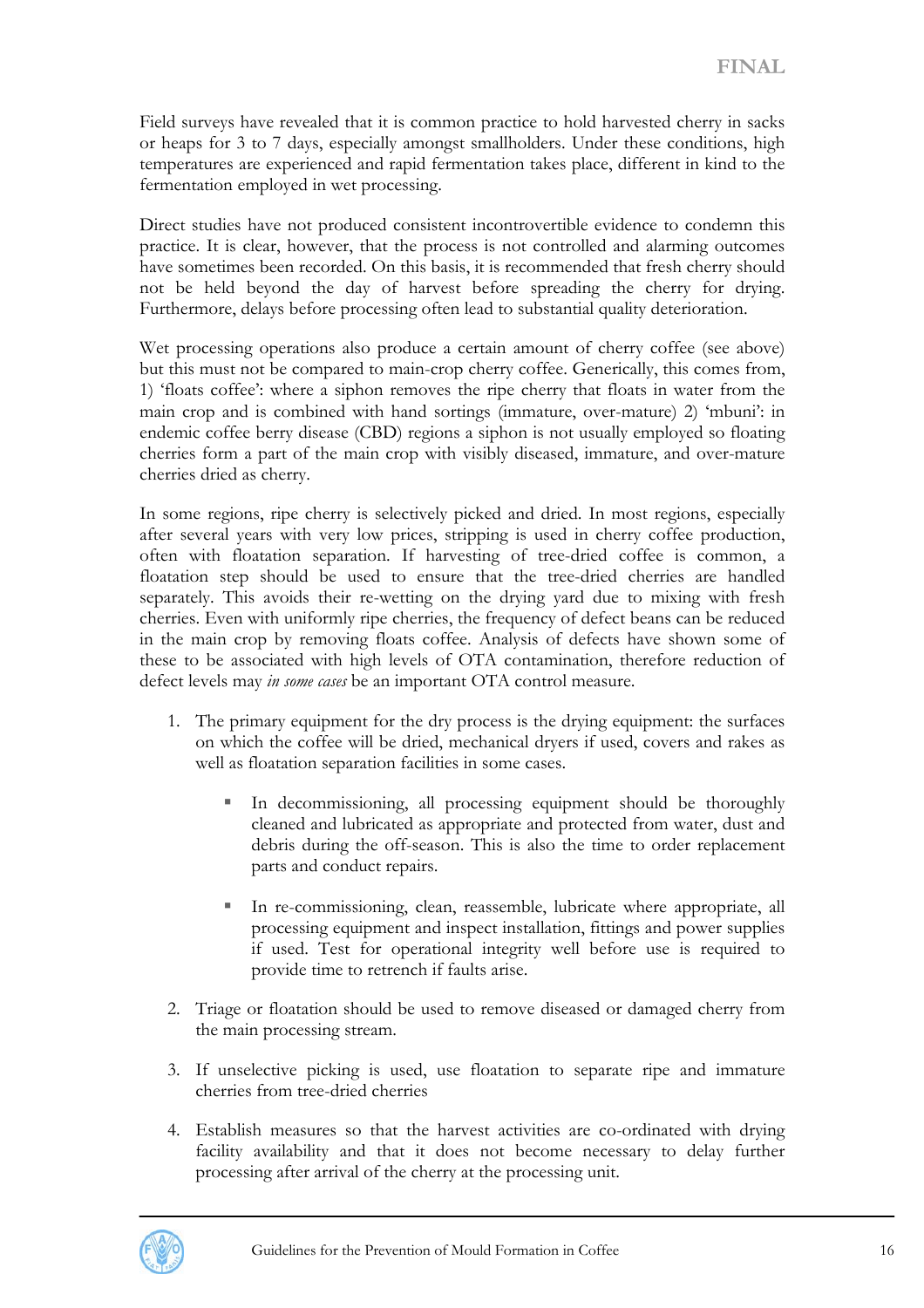Field surveys have revealed that it is common practice to hold harvested cherry in sacks or heaps for 3 to 7 days, especially amongst smallholders. Under these conditions, high temperatures are experienced and rapid fermentation takes place, different in kind to the fermentation employed in wet processing.

Direct studies have not produced consistent incontrovertible evidence to condemn this practice. It is clear, however, that the process is not controlled and alarming outcomes have sometimes been recorded. On this basis, it is recommended that fresh cherry should not be held beyond the day of harvest before spreading the cherry for drying. Furthermore, delays before processing often lead to substantial quality deterioration.

Wet processing operations also produce a certain amount of cherry coffee (see above) but this must not be compared to main-crop cherry coffee. Generically, this comes from, 1) 'floats coffee': where a siphon removes the ripe cherry that floats in water from the main crop and is combined with hand sortings (immature, over-mature) 2) 'mbuni': in endemic coffee berry disease (CBD) regions a siphon is not usually employed so floating cherries form a part of the main crop with visibly diseased, immature, and over-mature cherries dried as cherry.

In some regions, ripe cherry is selectively picked and dried. In most regions, especially after several years with very low prices, stripping is used in cherry coffee production, often with floatation separation. If harvesting of tree-dried coffee is common, a floatation step should be used to ensure that the tree-dried cherries are handled separately. This avoids their re-wetting on the drying yard due to mixing with fresh cherries. Even with uniformly ripe cherries, the frequency of defect beans can be reduced in the main crop by removing floats coffee. Analysis of defects have shown some of these to be associated with high levels of OTA contamination, therefore reduction of defect levels may *in some cases* be an important OTA control measure.

- 1. The primary equipment for the dry process is the drying equipment: the surfaces on which the coffee will be dried, mechanical dryers if used, covers and rakes as well as floatation separation facilities in some cases.
	- In decommissioning, all processing equipment should be thoroughly cleaned and lubricated as appropriate and protected from water, dust and debris during the off-season. This is also the time to order replacement parts and conduct repairs.
	- In re-commissioning, clean, reassemble, lubricate where appropriate, all processing equipment and inspect installation, fittings and power supplies if used. Test for operational integrity well before use is required to provide time to retrench if faults arise.
- 2. Triage or floatation should be used to remove diseased or damaged cherry from the main processing stream.
- 3. If unselective picking is used, use floatation to separate ripe and immature cherries from tree-dried cherries
- 4. Establish measures so that the harvest activities are co-ordinated with drying facility availability and that it does not become necessary to delay further processing after arrival of the cherry at the processing unit.

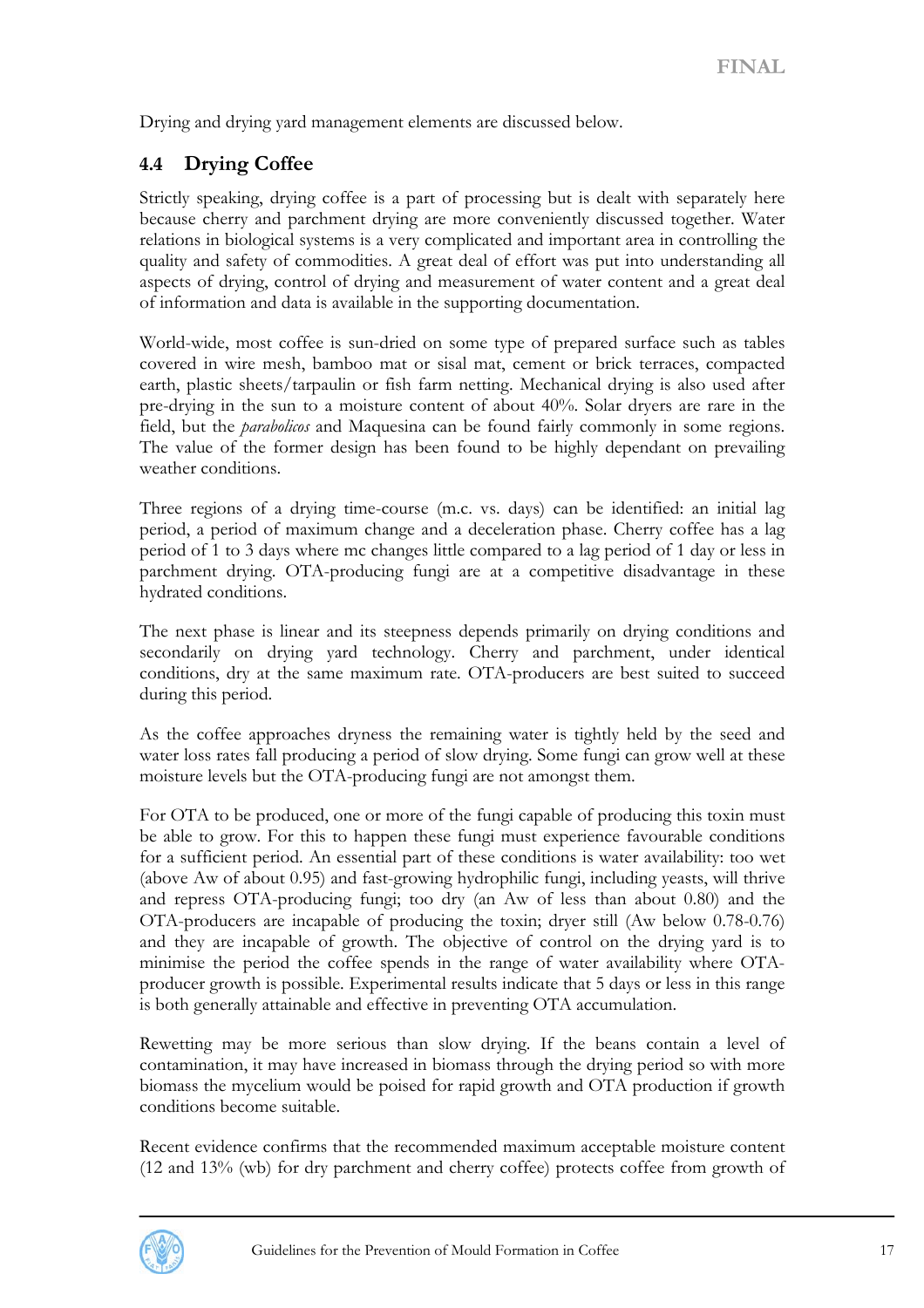<span id="page-16-0"></span>Drying and drying yard management elements are discussed below.

# **4.4 Drying Coffee**

Strictly speaking, drying coffee is a part of processing but is dealt with separately here because cherry and parchment drying are more conveniently discussed together. Water relations in biological systems is a very complicated and important area in controlling the quality and safety of commodities. A great deal of effort was put into understanding all aspects of drying, control of drying and measurement of water content and a great deal of information and data is available in the supporting documentation.

World-wide, most coffee is sun-dried on some type of prepared surface such as tables covered in wire mesh, bamboo mat or sisal mat, cement or brick terraces, compacted earth, plastic sheets/tarpaulin or fish farm netting. Mechanical drying is also used after pre-drying in the sun to a moisture content of about 40%. Solar dryers are rare in the field, but the *parabolicos* and Maquesina can be found fairly commonly in some regions. The value of the former design has been found to be highly dependant on prevailing weather conditions.

Three regions of a drying time-course (m.c. vs. days) can be identified: an initial lag period, a period of maximum change and a deceleration phase. Cherry coffee has a lag period of 1 to 3 days where mc changes little compared to a lag period of 1 day or less in parchment drying. OTA-producing fungi are at a competitive disadvantage in these hydrated conditions.

The next phase is linear and its steepness depends primarily on drying conditions and secondarily on drying yard technology. Cherry and parchment, under identical conditions, dry at the same maximum rate. OTA-producers are best suited to succeed during this period.

As the coffee approaches dryness the remaining water is tightly held by the seed and water loss rates fall producing a period of slow drying. Some fungi can grow well at these moisture levels but the OTA-producing fungi are not amongst them.

For OTA to be produced, one or more of the fungi capable of producing this toxin must be able to grow. For this to happen these fungi must experience favourable conditions for a sufficient period. An essential part of these conditions is water availability: too wet (above Aw of about 0.95) and fast-growing hydrophilic fungi, including yeasts, will thrive and repress OTA-producing fungi; too dry (an Aw of less than about 0.80) and the OTA-producers are incapable of producing the toxin; dryer still (Aw below 0.78-0.76) and they are incapable of growth. The objective of control on the drying yard is to minimise the period the coffee spends in the range of water availability where OTAproducer growth is possible. Experimental results indicate that 5 days or less in this range is both generally attainable and effective in preventing OTA accumulation.

Rewetting may be more serious than slow drying. If the beans contain a level of contamination, it may have increased in biomass through the drying period so with more biomass the mycelium would be poised for rapid growth and OTA production if growth conditions become suitable.

Recent evidence confirms that the recommended maximum acceptable moisture content (12 and 13% (wb) for dry parchment and cherry coffee) protects coffee from growth of

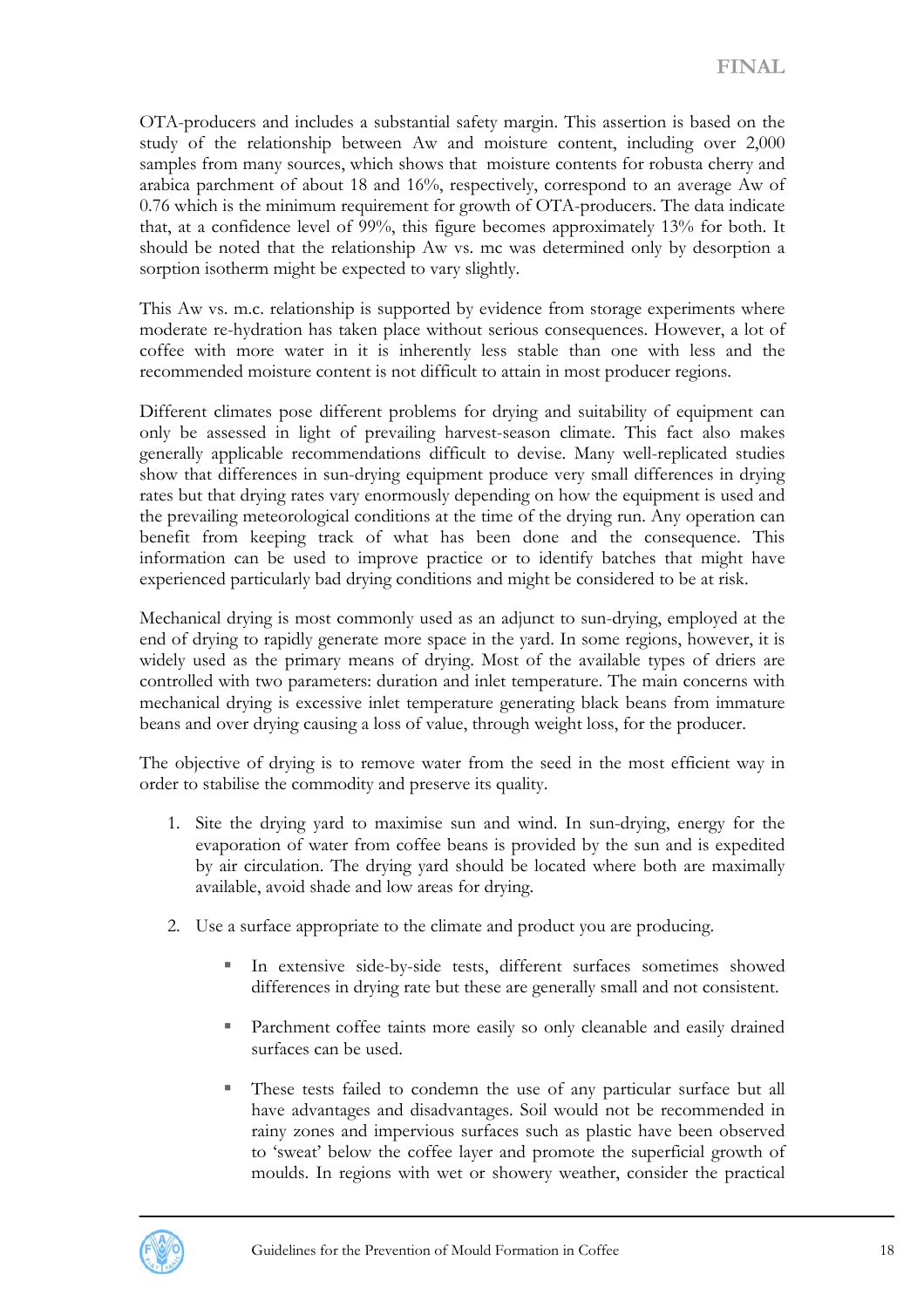OTA-producers and includes a substantial safety margin. This assertion is based on the study of the relationship between Aw and moisture content, including over 2,000 samples from many sources, which shows that moisture contents for robusta cherry and arabica parchment of about 18 and 16%, respectively, correspond to an average Aw of 0.76 which is the minimum requirement for growth of OTA-producers. The data indicate that, at a confidence level of 99%, this figure becomes approximately 13% for both. It should be noted that the relationship Aw vs. mc was determined only by desorption a sorption isotherm might be expected to vary slightly.

This Aw vs. m.c. relationship is supported by evidence from storage experiments where moderate re-hydration has taken place without serious consequences. However, a lot of coffee with more water in it is inherently less stable than one with less and the recommended moisture content is not difficult to attain in most producer regions.

Different climates pose different problems for drying and suitability of equipment can only be assessed in light of prevailing harvest-season climate. This fact also makes generally applicable recommendations difficult to devise. Many well-replicated studies show that differences in sun-drying equipment produce very small differences in drying rates but that drying rates vary enormously depending on how the equipment is used and the prevailing meteorological conditions at the time of the drying run. Any operation can benefit from keeping track of what has been done and the consequence. This information can be used to improve practice or to identify batches that might have experienced particularly bad drying conditions and might be considered to be at risk.

Mechanical drying is most commonly used as an adjunct to sun-drying, employed at the end of drying to rapidly generate more space in the yard. In some regions, however, it is widely used as the primary means of drying. Most of the available types of driers are controlled with two parameters: duration and inlet temperature. The main concerns with mechanical drying is excessive inlet temperature generating black beans from immature beans and over drying causing a loss of value, through weight loss, for the producer.

The objective of drying is to remove water from the seed in the most efficient way in order to stabilise the commodity and preserve its quality.

- 1. Site the drying yard to maximise sun and wind. In sun-drying, energy for the evaporation of water from coffee beans is provided by the sun and is expedited by air circulation. The drying yard should be located where both are maximally available, avoid shade and low areas for drying.
- 2. Use a surface appropriate to the climate and product you are producing.
	- In extensive side-by-side tests, different surfaces sometimes showed differences in drying rate but these are generally small and not consistent.
	- Parchment coffee taints more easily so only cleanable and easily drained surfaces can be used.
	- These tests failed to condemn the use of any particular surface but all have advantages and disadvantages. Soil would not be recommended in rainy zones and impervious surfaces such as plastic have been observed to 'sweat' below the coffee layer and promote the superficial growth of moulds. In regions with wet or showery weather, consider the practical

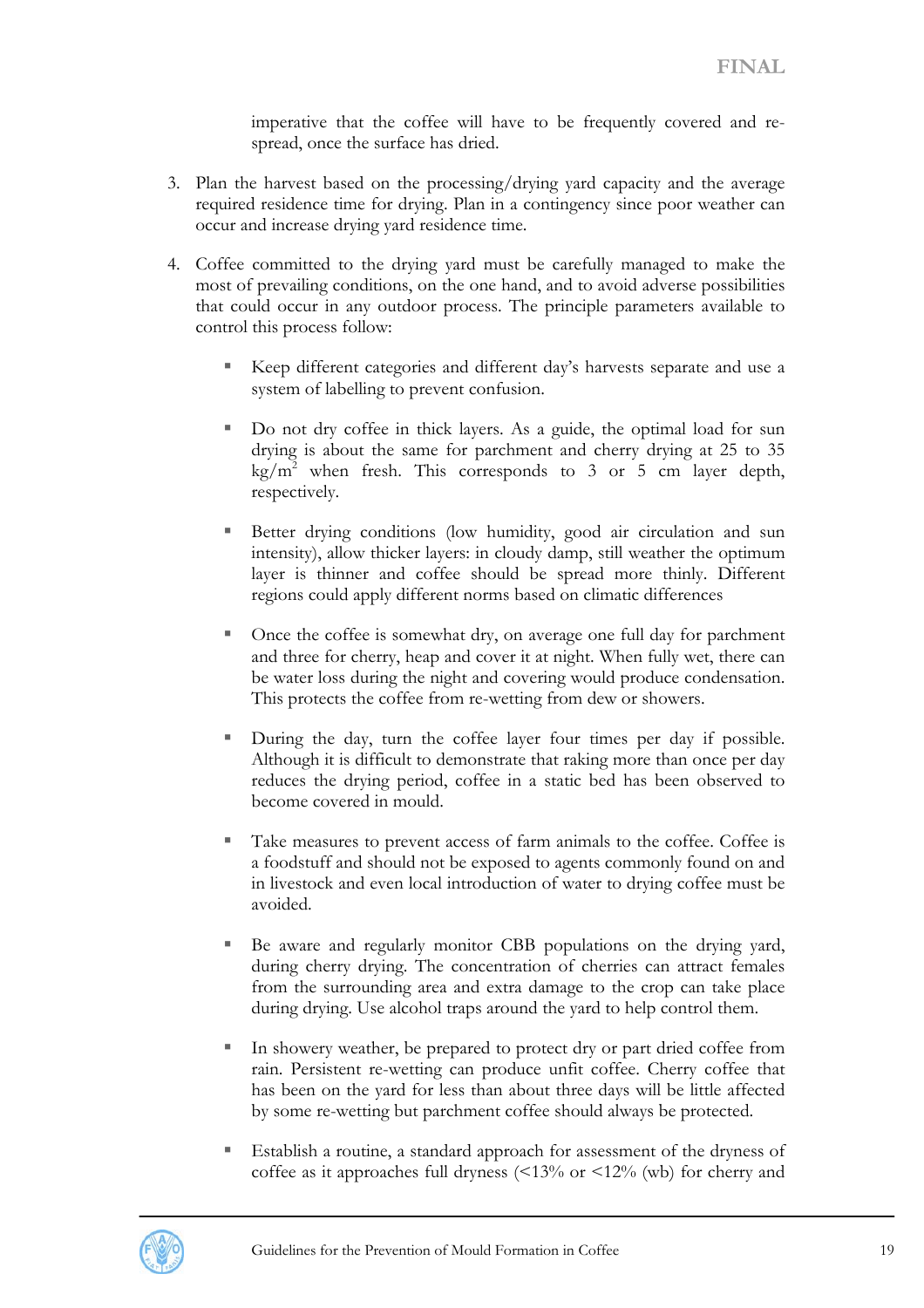imperative that the coffee will have to be frequently covered and respread, once the surface has dried.

- 3. Plan the harvest based on the processing/drying yard capacity and the average required residence time for drying. Plan in a contingency since poor weather can occur and increase drying yard residence time.
- 4. Coffee committed to the drying yard must be carefully managed to make the most of prevailing conditions, on the one hand, and to avoid adverse possibilities that could occur in any outdoor process. The principle parameters available to control this process follow:
	- Keep different categories and different day's harvests separate and use a system of labelling to prevent confusion.
	- Do not dry coffee in thick layers. As a guide, the optimal load for sun drying is about the same for parchment and cherry drying at 25 to 35  $\text{kg/m}^2$  when fresh. This corresponds to 3 or 5 cm layer depth, respectively.
	- Better drying conditions (low humidity, good air circulation and sun intensity), allow thicker layers: in cloudy damp, still weather the optimum layer is thinner and coffee should be spread more thinly. Different regions could apply different norms based on climatic differences
	- Once the coffee is somewhat dry, on average one full day for parchment and three for cherry, heap and cover it at night. When fully wet, there can be water loss during the night and covering would produce condensation. This protects the coffee from re-wetting from dew or showers.
	- During the day, turn the coffee layer four times per day if possible. Although it is difficult to demonstrate that raking more than once per day reduces the drying period, coffee in a static bed has been observed to become covered in mould.
	- Take measures to prevent access of farm animals to the coffee. Coffee is a foodstuff and should not be exposed to agents commonly found on and in livestock and even local introduction of water to drying coffee must be avoided.
	- Be aware and regularly monitor CBB populations on the drying yard, during cherry drying. The concentration of cherries can attract females from the surrounding area and extra damage to the crop can take place during drying. Use alcohol traps around the yard to help control them.
	- In showery weather, be prepared to protect dry or part dried coffee from rain. Persistent re-wetting can produce unfit coffee. Cherry coffee that has been on the yard for less than about three days will be little affected by some re-wetting but parchment coffee should always be protected.
	- Establish a routine, a standard approach for assessment of the dryness of coffee as it approaches full dryness  $\langle 13\% \text{ or } 12\% \text{ (wb)} \rangle$  for cherry and

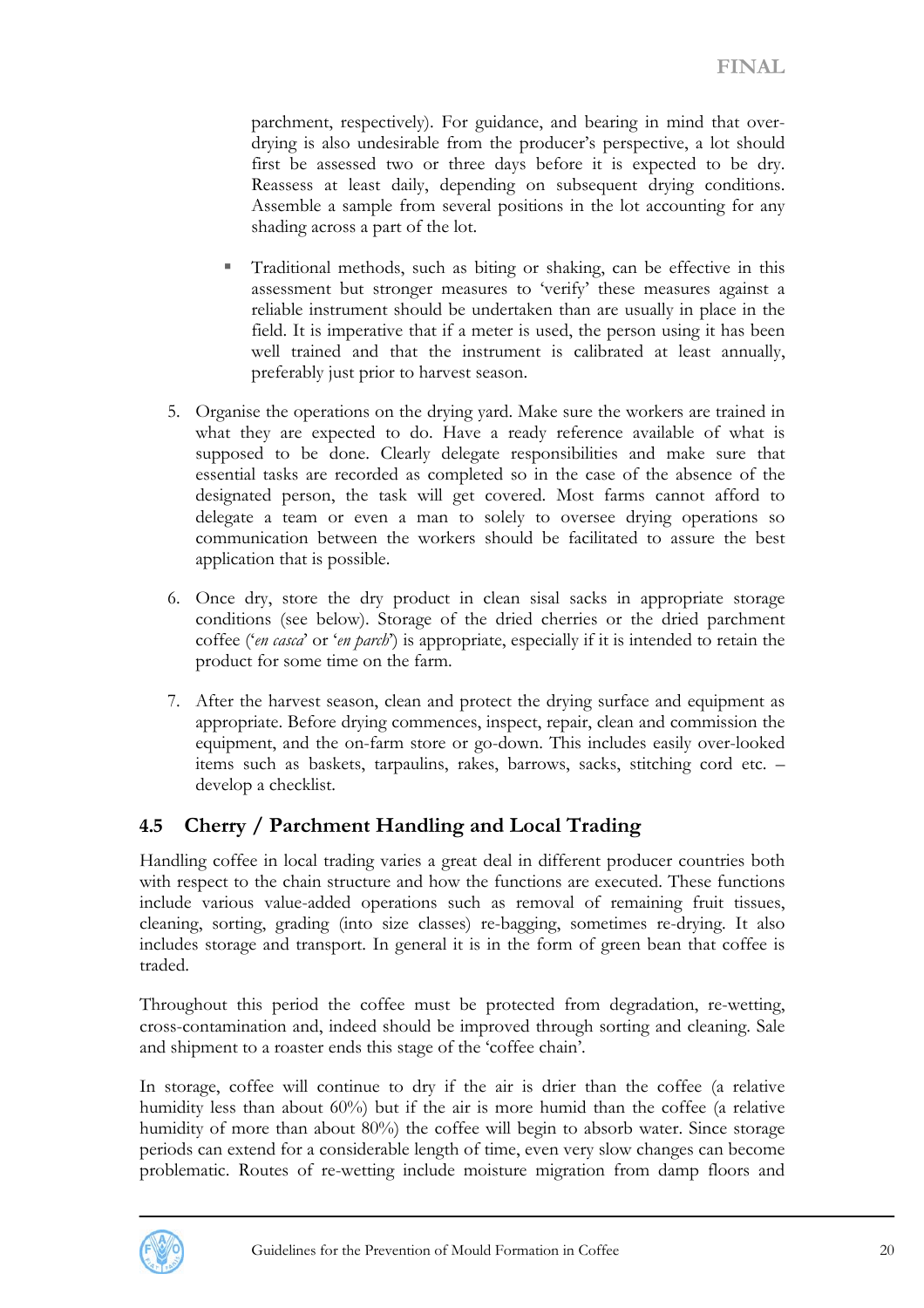<span id="page-19-0"></span>parchment, respectively). For guidance, and bearing in mind that overdrying is also undesirable from the producer's perspective, a lot should first be assessed two or three days before it is expected to be dry. Reassess at least daily, depending on subsequent drying conditions. Assemble a sample from several positions in the lot accounting for any shading across a part of the lot.

- Traditional methods, such as biting or shaking, can be effective in this assessment but stronger measures to 'verify' these measures against a reliable instrument should be undertaken than are usually in place in the field. It is imperative that if a meter is used, the person using it has been well trained and that the instrument is calibrated at least annually, preferably just prior to harvest season.
- 5. Organise the operations on the drying yard. Make sure the workers are trained in what they are expected to do. Have a ready reference available of what is supposed to be done. Clearly delegate responsibilities and make sure that essential tasks are recorded as completed so in the case of the absence of the designated person, the task will get covered. Most farms cannot afford to delegate a team or even a man to solely to oversee drying operations so communication between the workers should be facilitated to assure the best application that is possible.
- 6. Once dry, store the dry product in clean sisal sacks in appropriate storage conditions (see below). Storage of the dried cherries or the dried parchment coffee ('*en casca*' or '*en parch*') is appropriate, especially if it is intended to retain the product for some time on the farm.
- 7. After the harvest season, clean and protect the drying surface and equipment as appropriate. Before drying commences, inspect, repair, clean and commission the equipment, and the on-farm store or go-down. This includes easily over-looked items such as baskets, tarpaulins, rakes, barrows, sacks, stitching cord etc. – develop a checklist.

## **4.5 Cherry / Parchment Handling and Local Trading**

Handling coffee in local trading varies a great deal in different producer countries both with respect to the chain structure and how the functions are executed. These functions include various value-added operations such as removal of remaining fruit tissues, cleaning, sorting, grading (into size classes) re-bagging, sometimes re-drying. It also includes storage and transport. In general it is in the form of green bean that coffee is traded.

Throughout this period the coffee must be protected from degradation, re-wetting, cross-contamination and, indeed should be improved through sorting and cleaning. Sale and shipment to a roaster ends this stage of the 'coffee chain'.

In storage, coffee will continue to dry if the air is drier than the coffee (a relative humidity less than about 60%) but if the air is more humid than the coffee (a relative humidity of more than about 80%) the coffee will begin to absorb water. Since storage periods can extend for a considerable length of time, even very slow changes can become problematic. Routes of re-wetting include moisture migration from damp floors and

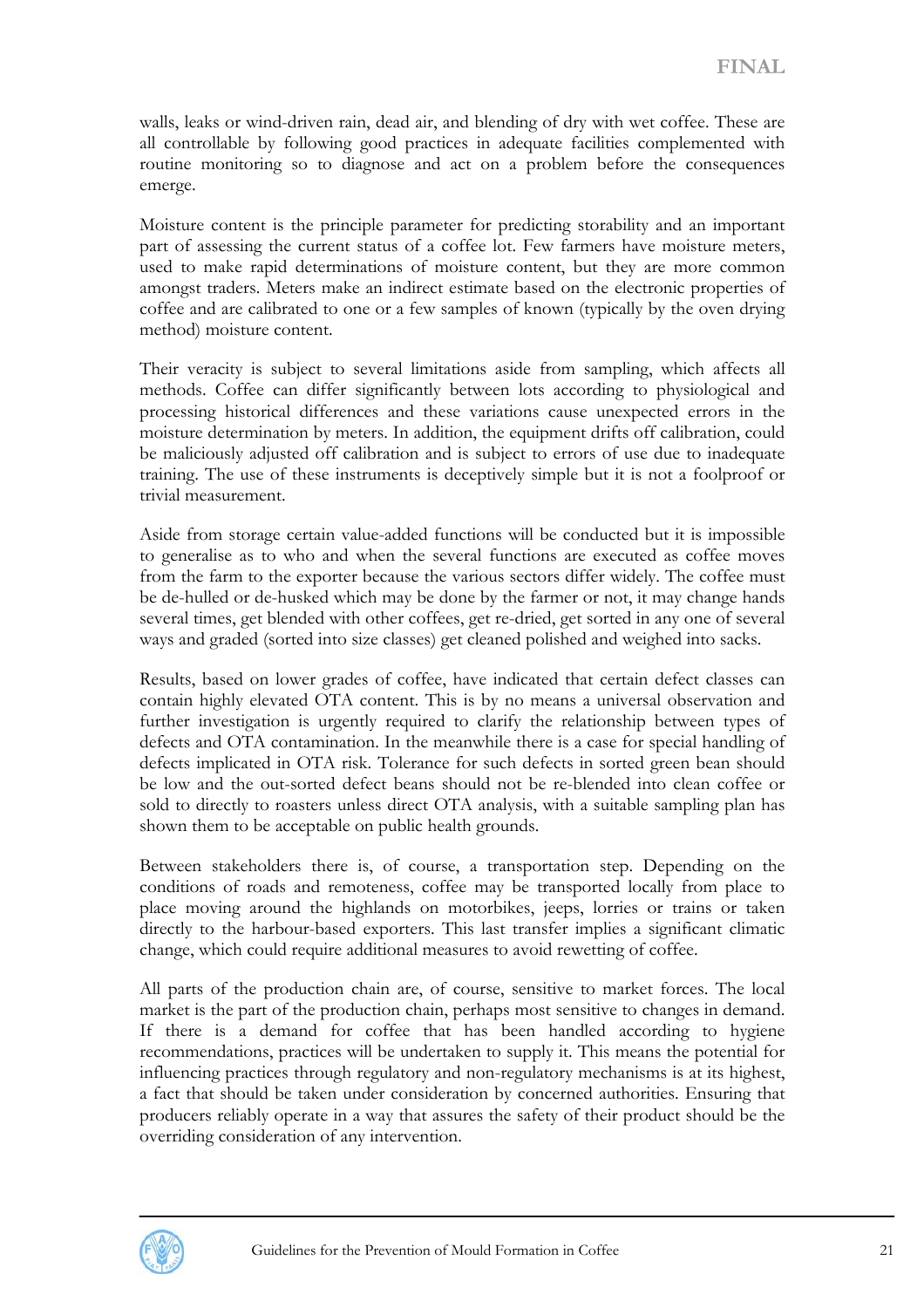walls, leaks or wind-driven rain, dead air, and blending of dry with wet coffee. These are all controllable by following good practices in adequate facilities complemented with routine monitoring so to diagnose and act on a problem before the consequences emerge.

Moisture content is the principle parameter for predicting storability and an important part of assessing the current status of a coffee lot. Few farmers have moisture meters, used to make rapid determinations of moisture content, but they are more common amongst traders. Meters make an indirect estimate based on the electronic properties of coffee and are calibrated to one or a few samples of known (typically by the oven drying method) moisture content.

Their veracity is subject to several limitations aside from sampling, which affects all methods. Coffee can differ significantly between lots according to physiological and processing historical differences and these variations cause unexpected errors in the moisture determination by meters. In addition, the equipment drifts off calibration, could be maliciously adjusted off calibration and is subject to errors of use due to inadequate training. The use of these instruments is deceptively simple but it is not a foolproof or trivial measurement.

Aside from storage certain value-added functions will be conducted but it is impossible to generalise as to who and when the several functions are executed as coffee moves from the farm to the exporter because the various sectors differ widely. The coffee must be de-hulled or de-husked which may be done by the farmer or not, it may change hands several times, get blended with other coffees, get re-dried, get sorted in any one of several ways and graded (sorted into size classes) get cleaned polished and weighed into sacks.

Results, based on lower grades of coffee, have indicated that certain defect classes can contain highly elevated OTA content. This is by no means a universal observation and further investigation is urgently required to clarify the relationship between types of defects and OTA contamination. In the meanwhile there is a case for special handling of defects implicated in OTA risk. Tolerance for such defects in sorted green bean should be low and the out-sorted defect beans should not be re-blended into clean coffee or sold to directly to roasters unless direct OTA analysis, with a suitable sampling plan has shown them to be acceptable on public health grounds.

Between stakeholders there is, of course, a transportation step. Depending on the conditions of roads and remoteness, coffee may be transported locally from place to place moving around the highlands on motorbikes, jeeps, lorries or trains or taken directly to the harbour-based exporters. This last transfer implies a significant climatic change, which could require additional measures to avoid rewetting of coffee.

All parts of the production chain are, of course, sensitive to market forces. The local market is the part of the production chain, perhaps most sensitive to changes in demand. If there is a demand for coffee that has been handled according to hygiene recommendations, practices will be undertaken to supply it. This means the potential for influencing practices through regulatory and non-regulatory mechanisms is at its highest, a fact that should be taken under consideration by concerned authorities. Ensuring that producers reliably operate in a way that assures the safety of their product should be the overriding consideration of any intervention.

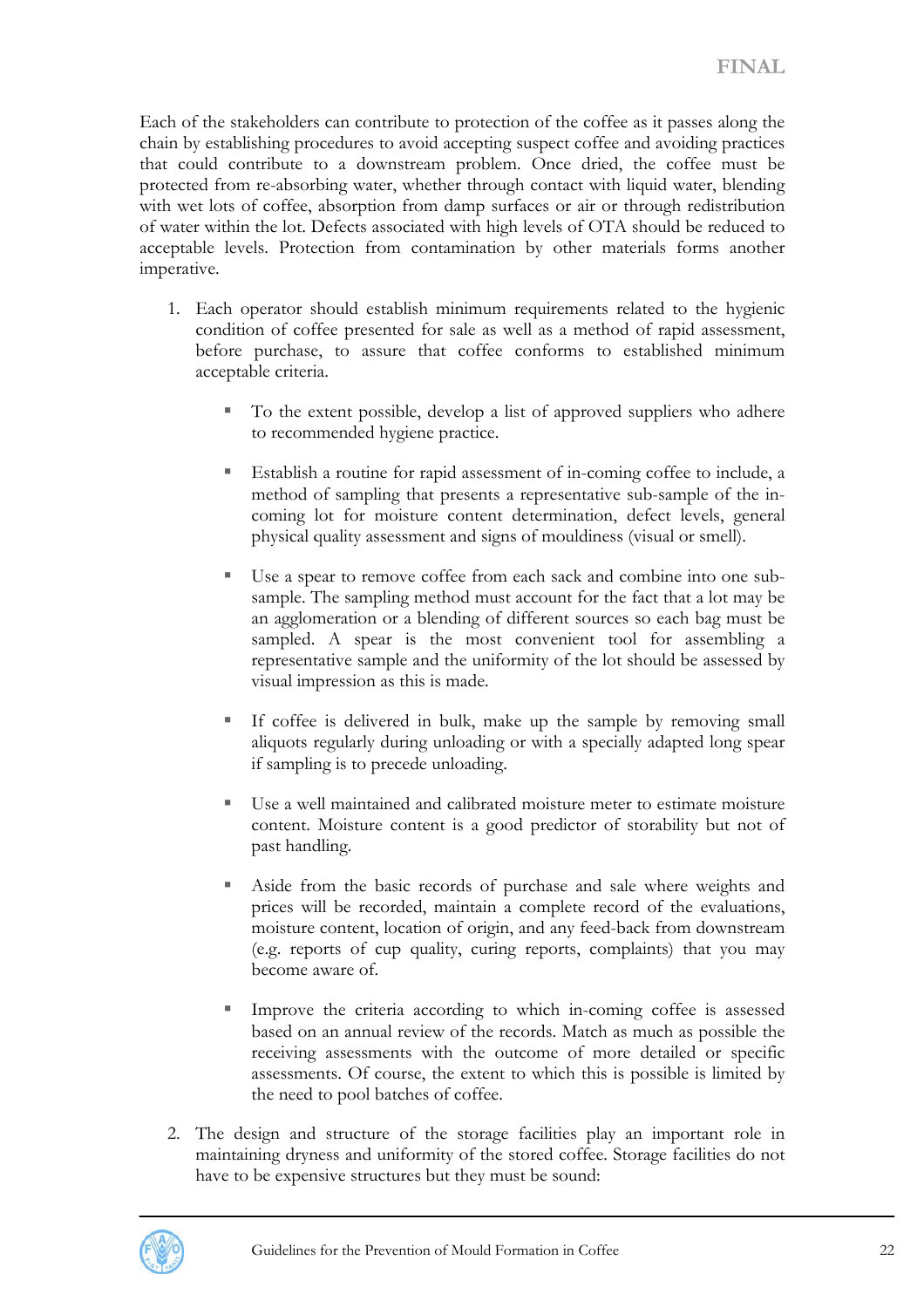Each of the stakeholders can contribute to protection of the coffee as it passes along the chain by establishing procedures to avoid accepting suspect coffee and avoiding practices that could contribute to a downstream problem. Once dried, the coffee must be protected from re-absorbing water, whether through contact with liquid water, blending with wet lots of coffee, absorption from damp surfaces or air or through redistribution of water within the lot. Defects associated with high levels of OTA should be reduced to acceptable levels. Protection from contamination by other materials forms another imperative.

- 1. Each operator should establish minimum requirements related to the hygienic condition of coffee presented for sale as well as a method of rapid assessment, before purchase, to assure that coffee conforms to established minimum acceptable criteria.
	- To the extent possible, develop a list of approved suppliers who adhere to recommended hygiene practice.
	- Establish a routine for rapid assessment of in-coming coffee to include, a method of sampling that presents a representative sub-sample of the incoming lot for moisture content determination, defect levels, general physical quality assessment and signs of mouldiness (visual or smell).
	- Use a spear to remove coffee from each sack and combine into one subsample. The sampling method must account for the fact that a lot may be an agglomeration or a blending of different sources so each bag must be sampled. A spear is the most convenient tool for assembling a representative sample and the uniformity of the lot should be assessed by visual impression as this is made.
	- If coffee is delivered in bulk, make up the sample by removing small aliquots regularly during unloading or with a specially adapted long spear if sampling is to precede unloading.
	- Use a well maintained and calibrated moisture meter to estimate moisture content. Moisture content is a good predictor of storability but not of past handling.
	- Aside from the basic records of purchase and sale where weights and prices will be recorded, maintain a complete record of the evaluations, moisture content, location of origin, and any feed-back from downstream (e.g. reports of cup quality, curing reports, complaints) that you may become aware of.
	- Improve the criteria according to which in-coming coffee is assessed based on an annual review of the records. Match as much as possible the receiving assessments with the outcome of more detailed or specific assessments. Of course, the extent to which this is possible is limited by the need to pool batches of coffee.
- 2. The design and structure of the storage facilities play an important role in maintaining dryness and uniformity of the stored coffee. Storage facilities do not have to be expensive structures but they must be sound:

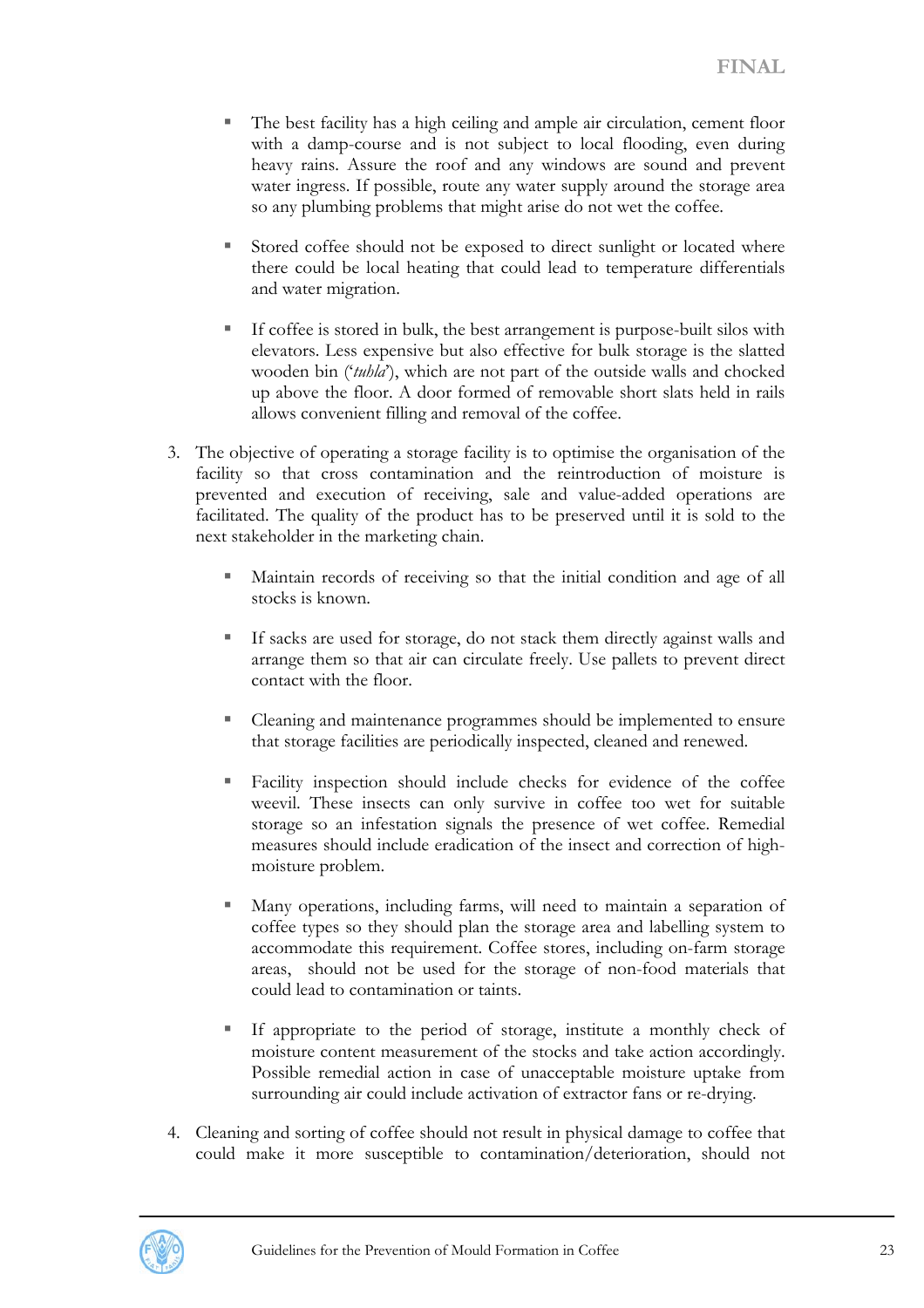- The best facility has a high ceiling and ample air circulation, cement floor with a damp-course and is not subject to local flooding, even during heavy rains. Assure the roof and any windows are sound and prevent water ingress. If possible, route any water supply around the storage area so any plumbing problems that might arise do not wet the coffee.
- Stored coffee should not be exposed to direct sunlight or located where there could be local heating that could lead to temperature differentials and water migration.
- If coffee is stored in bulk, the best arrangement is purpose-built silos with elevators. Less expensive but also effective for bulk storage is the slatted wooden bin ('*tuhla*'), which are not part of the outside walls and chocked up above the floor. A door formed of removable short slats held in rails allows convenient filling and removal of the coffee.
- 3. The objective of operating a storage facility is to optimise the organisation of the facility so that cross contamination and the reintroduction of moisture is prevented and execution of receiving, sale and value-added operations are facilitated. The quality of the product has to be preserved until it is sold to the next stakeholder in the marketing chain.
	- Maintain records of receiving so that the initial condition and age of all stocks is known.
	- If sacks are used for storage, do not stack them directly against walls and arrange them so that air can circulate freely. Use pallets to prevent direct contact with the floor.
	- Cleaning and maintenance programmes should be implemented to ensure that storage facilities are periodically inspected, cleaned and renewed.
	- Facility inspection should include checks for evidence of the coffee weevil. These insects can only survive in coffee too wet for suitable storage so an infestation signals the presence of wet coffee. Remedial measures should include eradication of the insect and correction of highmoisture problem.
	- Many operations, including farms, will need to maintain a separation of coffee types so they should plan the storage area and labelling system to accommodate this requirement. Coffee stores, including on-farm storage areas, should not be used for the storage of non-food materials that could lead to contamination or taints.
	- If appropriate to the period of storage, institute a monthly check of moisture content measurement of the stocks and take action accordingly. Possible remedial action in case of unacceptable moisture uptake from surrounding air could include activation of extractor fans or re-drying.
- 4. Cleaning and sorting of coffee should not result in physical damage to coffee that could make it more susceptible to contamination/deterioration, should not

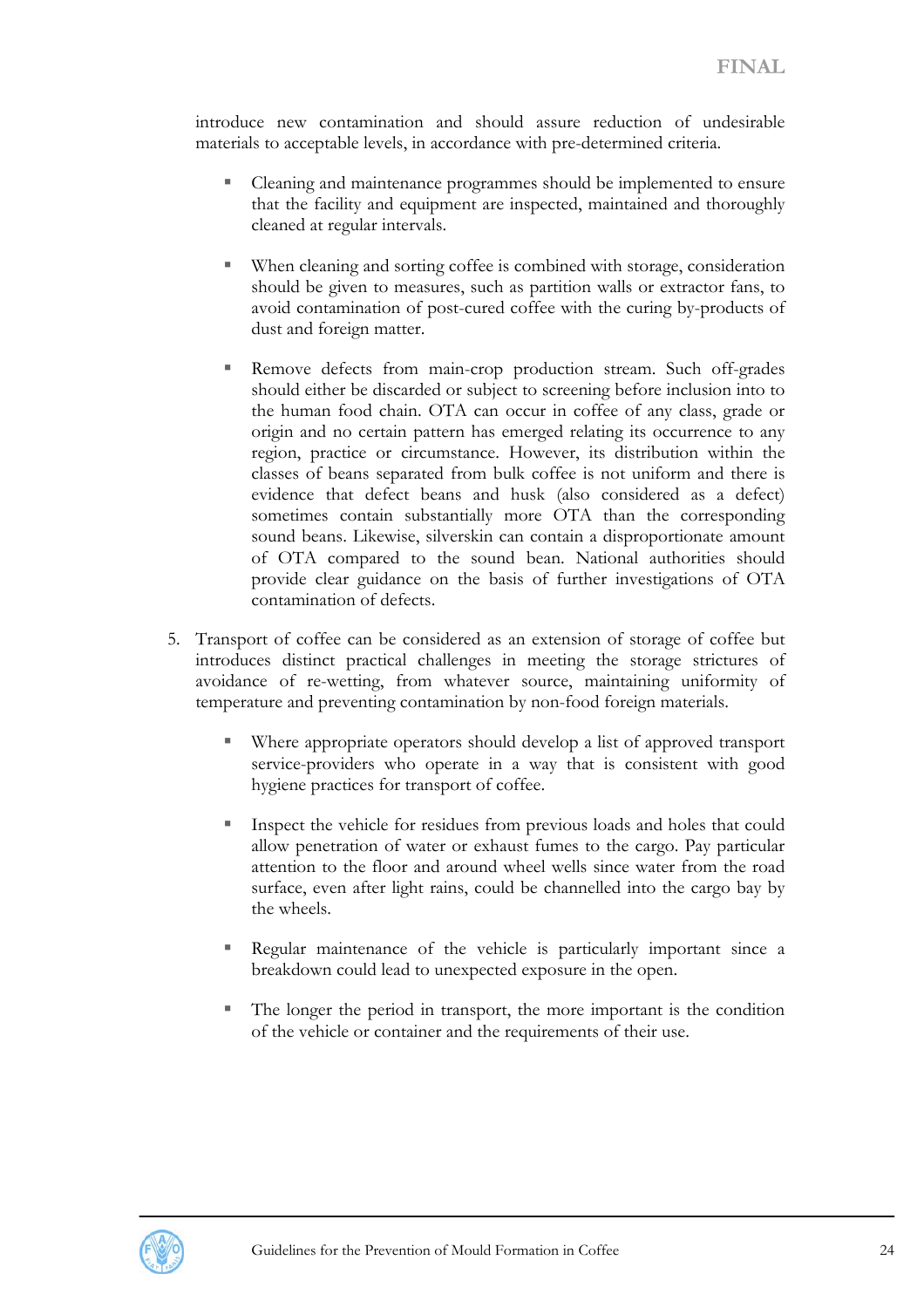introduce new contamination and should assure reduction of undesirable materials to acceptable levels, in accordance with pre-determined criteria.

- Cleaning and maintenance programmes should be implemented to ensure that the facility and equipment are inspected, maintained and thoroughly cleaned at regular intervals.
- When cleaning and sorting coffee is combined with storage, consideration should be given to measures, such as partition walls or extractor fans, to avoid contamination of post-cured coffee with the curing by-products of dust and foreign matter.
- Remove defects from main-crop production stream. Such off-grades should either be discarded or subject to screening before inclusion into to the human food chain. OTA can occur in coffee of any class, grade or origin and no certain pattern has emerged relating its occurrence to any region, practice or circumstance. However, its distribution within the classes of beans separated from bulk coffee is not uniform and there is evidence that defect beans and husk (also considered as a defect) sometimes contain substantially more OTA than the corresponding sound beans. Likewise, silverskin can contain a disproportionate amount of OTA compared to the sound bean. National authorities should provide clear guidance on the basis of further investigations of OTA contamination of defects.
- 5. Transport of coffee can be considered as an extension of storage of coffee but introduces distinct practical challenges in meeting the storage strictures of avoidance of re-wetting, from whatever source, maintaining uniformity of temperature and preventing contamination by non-food foreign materials.
	- Where appropriate operators should develop a list of approved transport service-providers who operate in a way that is consistent with good hygiene practices for transport of coffee.
	- Inspect the vehicle for residues from previous loads and holes that could allow penetration of water or exhaust fumes to the cargo. Pay particular attention to the floor and around wheel wells since water from the road surface, even after light rains, could be channelled into the cargo bay by the wheels.
	- Regular maintenance of the vehicle is particularly important since a breakdown could lead to unexpected exposure in the open.
	- The longer the period in transport, the more important is the condition of the vehicle or container and the requirements of their use.